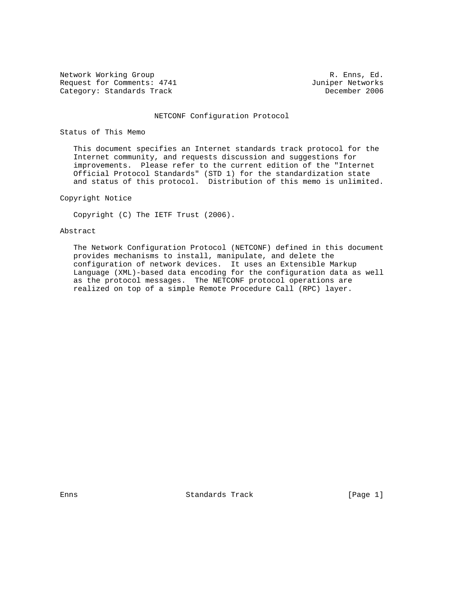Network Working Group **R. Enns, Ed.** All end of the Material Annual Control of the Materia Annual Control of the Ma Request for Comments: 4741 Juniper Networks<br>
Category: Standards Track and December 2006 Category: Standards Track

### NETCONF Configuration Protocol

# Status of This Memo

 This document specifies an Internet standards track protocol for the Internet community, and requests discussion and suggestions for improvements. Please refer to the current edition of the "Internet Official Protocol Standards" (STD 1) for the standardization state and status of this protocol. Distribution of this memo is unlimited.

# Copyright Notice

Copyright (C) The IETF Trust (2006).

## Abstract

 The Network Configuration Protocol (NETCONF) defined in this document provides mechanisms to install, manipulate, and delete the configuration of network devices. It uses an Extensible Markup Language (XML)-based data encoding for the configuration data as well as the protocol messages. The NETCONF protocol operations are realized on top of a simple Remote Procedure Call (RPC) layer.

Enns Standards Track [Page 1]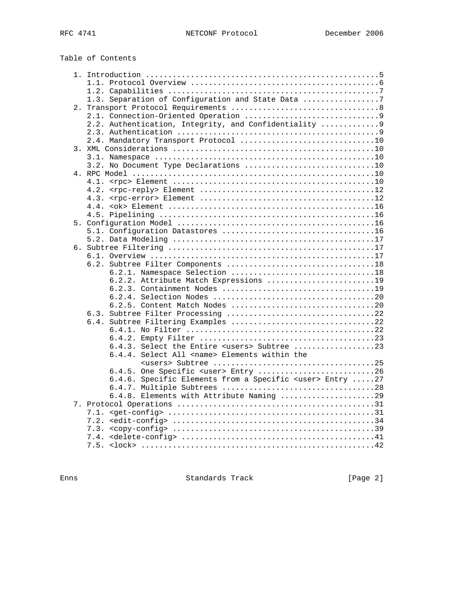|  | 1.3. Separation of Configuration and State Data 7                                                                                                                                                                                                                |  |  |  |  |  |  |
|--|------------------------------------------------------------------------------------------------------------------------------------------------------------------------------------------------------------------------------------------------------------------|--|--|--|--|--|--|
|  |                                                                                                                                                                                                                                                                  |  |  |  |  |  |  |
|  |                                                                                                                                                                                                                                                                  |  |  |  |  |  |  |
|  | 2.2. Authentication, Integrity, and Confidentiality  9                                                                                                                                                                                                           |  |  |  |  |  |  |
|  |                                                                                                                                                                                                                                                                  |  |  |  |  |  |  |
|  |                                                                                                                                                                                                                                                                  |  |  |  |  |  |  |
|  |                                                                                                                                                                                                                                                                  |  |  |  |  |  |  |
|  |                                                                                                                                                                                                                                                                  |  |  |  |  |  |  |
|  |                                                                                                                                                                                                                                                                  |  |  |  |  |  |  |
|  |                                                                                                                                                                                                                                                                  |  |  |  |  |  |  |
|  |                                                                                                                                                                                                                                                                  |  |  |  |  |  |  |
|  |                                                                                                                                                                                                                                                                  |  |  |  |  |  |  |
|  |                                                                                                                                                                                                                                                                  |  |  |  |  |  |  |
|  |                                                                                                                                                                                                                                                                  |  |  |  |  |  |  |
|  |                                                                                                                                                                                                                                                                  |  |  |  |  |  |  |
|  |                                                                                                                                                                                                                                                                  |  |  |  |  |  |  |
|  |                                                                                                                                                                                                                                                                  |  |  |  |  |  |  |
|  |                                                                                                                                                                                                                                                                  |  |  |  |  |  |  |
|  |                                                                                                                                                                                                                                                                  |  |  |  |  |  |  |
|  |                                                                                                                                                                                                                                                                  |  |  |  |  |  |  |
|  |                                                                                                                                                                                                                                                                  |  |  |  |  |  |  |
|  | 6.2.1. Namespace Selection 18                                                                                                                                                                                                                                    |  |  |  |  |  |  |
|  | 6.2.2. Attribute Match Expressions 19                                                                                                                                                                                                                            |  |  |  |  |  |  |
|  |                                                                                                                                                                                                                                                                  |  |  |  |  |  |  |
|  |                                                                                                                                                                                                                                                                  |  |  |  |  |  |  |
|  | 6.2.5. Content Match Nodes 20                                                                                                                                                                                                                                    |  |  |  |  |  |  |
|  |                                                                                                                                                                                                                                                                  |  |  |  |  |  |  |
|  | 6.4. Subtree Filtering Examples 22                                                                                                                                                                                                                               |  |  |  |  |  |  |
|  |                                                                                                                                                                                                                                                                  |  |  |  |  |  |  |
|  |                                                                                                                                                                                                                                                                  |  |  |  |  |  |  |
|  | 6.4.3. Select the Entire <users> Subtree 23</users>                                                                                                                                                                                                              |  |  |  |  |  |  |
|  | 6.4.4. Select All <name> Elements within the</name>                                                                                                                                                                                                              |  |  |  |  |  |  |
|  |                                                                                                                                                                                                                                                                  |  |  |  |  |  |  |
|  | 6.4.5. One Specific <user> Entry 26</user>                                                                                                                                                                                                                       |  |  |  |  |  |  |
|  | 6.4.6. Specific Elements from a Specific <user> Entry 27</user>                                                                                                                                                                                                  |  |  |  |  |  |  |
|  |                                                                                                                                                                                                                                                                  |  |  |  |  |  |  |
|  | 6.4.8. Elements with Attribute Naming 29                                                                                                                                                                                                                         |  |  |  |  |  |  |
|  |                                                                                                                                                                                                                                                                  |  |  |  |  |  |  |
|  | 7.1. $\text{sqrt}$ $\text{cot}$ $\text{cos}$ $\cdots$ $\cdots$ $\cdots$ $\cdots$ $\cdots$ $\cdots$ $\cdots$ $\cdots$ $\cdots$ $\cdots$ $\cdots$ $\cdots$ $\cdots$ $\cdots$ $\cdots$ $\cdots$ $\cdots$ $\cdots$                                                   |  |  |  |  |  |  |
|  | 7.2. $\leq$ $\leq$ $\leq$ $\leq$ $\leq$ $\leq$ $\leq$ $\leq$ $\leq$ $\leq$ $\leq$ $\leq$ $\leq$ $\leq$ $\leq$ $\leq$ $\leq$ $\leq$ $\leq$ $\leq$ $\leq$ $\leq$ $\leq$ $\leq$ $\leq$ $\leq$ $\leq$ $\leq$ $\leq$ $\leq$ $\leq$ $\leq$ $\leq$ $\leq$ $\leq$ $\leq$ |  |  |  |  |  |  |
|  | 7.3.                                                                                                                                                                                                                                                             |  |  |  |  |  |  |
|  |                                                                                                                                                                                                                                                                  |  |  |  |  |  |  |
|  |                                                                                                                                                                                                                                                                  |  |  |  |  |  |  |
|  |                                                                                                                                                                                                                                                                  |  |  |  |  |  |  |

Enns Standards Track [Page 2]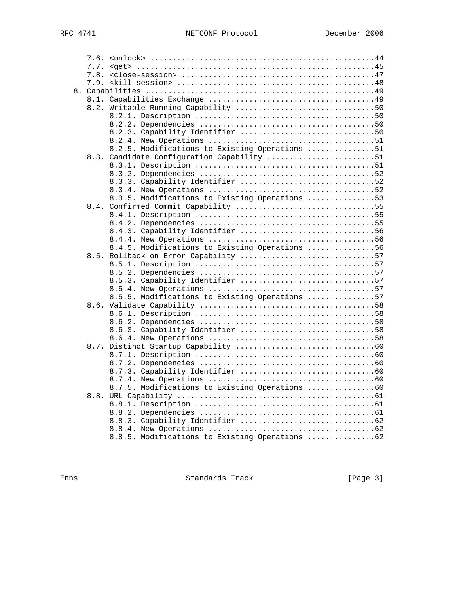|  |  | 8.2. Writable-Running Capability 50                                                    |  |
|--|--|----------------------------------------------------------------------------------------|--|
|  |  |                                                                                        |  |
|  |  |                                                                                        |  |
|  |  |                                                                                        |  |
|  |  |                                                                                        |  |
|  |  | 8.2.5. Modifications to Existing Operations 51                                         |  |
|  |  | 8.3. Candidate Configuration Capability 51                                             |  |
|  |  |                                                                                        |  |
|  |  |                                                                                        |  |
|  |  | 8.3.3. Capability Identifier 52                                                        |  |
|  |  |                                                                                        |  |
|  |  | 8.3.5. Modifications to Existing Operations 53                                         |  |
|  |  | 8.4. Confirmed Commit Capability 55                                                    |  |
|  |  |                                                                                        |  |
|  |  |                                                                                        |  |
|  |  | 8.4.3. Capability Identifier 56                                                        |  |
|  |  |                                                                                        |  |
|  |  | 8.4.5. Modifications to Existing Operations 56<br>8.5. Rollback on Error Capability 57 |  |
|  |  |                                                                                        |  |
|  |  |                                                                                        |  |
|  |  | 8.5.3. Capability Identifier 57                                                        |  |
|  |  |                                                                                        |  |
|  |  | 8.5.5. Modifications to Existing Operations 57                                         |  |
|  |  |                                                                                        |  |
|  |  |                                                                                        |  |
|  |  |                                                                                        |  |
|  |  | 8.6.3. Capability Identifier 58                                                        |  |
|  |  |                                                                                        |  |
|  |  |                                                                                        |  |
|  |  |                                                                                        |  |
|  |  |                                                                                        |  |
|  |  |                                                                                        |  |
|  |  |                                                                                        |  |
|  |  | 8.7.5. Modifications to Existing Operations 60                                         |  |
|  |  |                                                                                        |  |
|  |  |                                                                                        |  |
|  |  |                                                                                        |  |
|  |  |                                                                                        |  |
|  |  |                                                                                        |  |
|  |  | 8.8.5. Modifications to Existing Operations 62                                         |  |

Enns Standards Track [Page 3]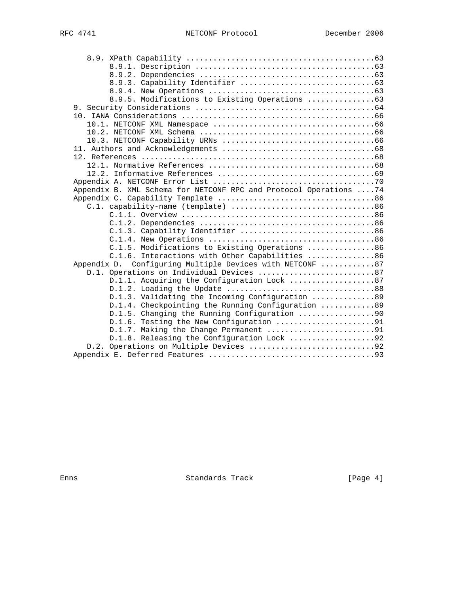| 8.9.5. Modifications to Existing Operations 63                                                    |  |
|---------------------------------------------------------------------------------------------------|--|
|                                                                                                   |  |
|                                                                                                   |  |
|                                                                                                   |  |
|                                                                                                   |  |
|                                                                                                   |  |
|                                                                                                   |  |
|                                                                                                   |  |
|                                                                                                   |  |
|                                                                                                   |  |
|                                                                                                   |  |
| Appendix B. XML Schema for NETCONF RPC and Protocol Operations  74                                |  |
|                                                                                                   |  |
|                                                                                                   |  |
|                                                                                                   |  |
|                                                                                                   |  |
|                                                                                                   |  |
|                                                                                                   |  |
| C.1.5. Modifications to Existing Operations 86                                                    |  |
| C.1.6. Interactions with Other Capabilities 86                                                    |  |
| Appendix D. Configuring Multiple Devices with NETCONF 87                                          |  |
| D.1. Operations on Individual Devices 87                                                          |  |
| D.1.1. Acquiring the Configuration Lock 87                                                        |  |
|                                                                                                   |  |
| D.1.3. Validating the Incoming Configuration 89                                                   |  |
| D.1.4. Checkpointing the Running Configuration 89<br>D.1.5. Changing the Running Configuration 90 |  |
|                                                                                                   |  |
| D.1.6. Testing the New Configuration 91<br>D.1.7. Making the Change Permanent 91                  |  |
| D.1.8. Releasing the Configuration Lock 92                                                        |  |
| D.2. Operations on Multiple Devices 92                                                            |  |
|                                                                                                   |  |
|                                                                                                   |  |

Enns Standards Track [Page 4]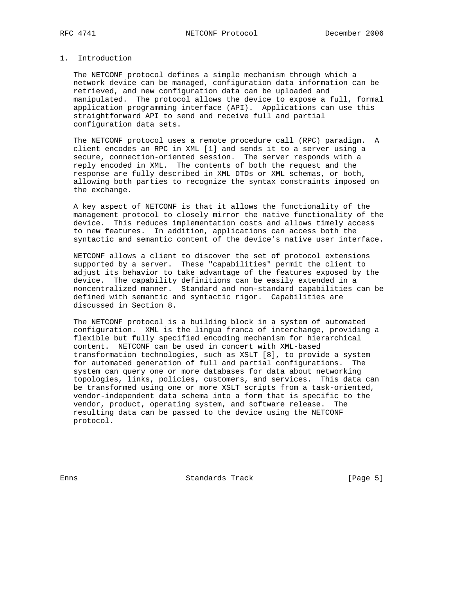# 1. Introduction

 The NETCONF protocol defines a simple mechanism through which a network device can be managed, configuration data information can be retrieved, and new configuration data can be uploaded and manipulated. The protocol allows the device to expose a full, formal application programming interface (API). Applications can use this straightforward API to send and receive full and partial configuration data sets.

 The NETCONF protocol uses a remote procedure call (RPC) paradigm. A client encodes an RPC in XML [1] and sends it to a server using a secure, connection-oriented session. The server responds with a reply encoded in XML. The contents of both the request and the response are fully described in XML DTDs or XML schemas, or both, allowing both parties to recognize the syntax constraints imposed on the exchange.

 A key aspect of NETCONF is that it allows the functionality of the management protocol to closely mirror the native functionality of the device. This reduces implementation costs and allows timely access to new features. In addition, applications can access both the syntactic and semantic content of the device's native user interface.

 NETCONF allows a client to discover the set of protocol extensions supported by a server. These "capabilities" permit the client to adjust its behavior to take advantage of the features exposed by the device. The capability definitions can be easily extended in a noncentralized manner. Standard and non-standard capabilities can be defined with semantic and syntactic rigor. Capabilities are discussed in Section 8.

 The NETCONF protocol is a building block in a system of automated configuration. XML is the lingua franca of interchange, providing a flexible but fully specified encoding mechanism for hierarchical content. NETCONF can be used in concert with XML-based transformation technologies, such as XSLT [8], to provide a system for automated generation of full and partial configurations. The system can query one or more databases for data about networking topologies, links, policies, customers, and services. This data can be transformed using one or more XSLT scripts from a task-oriented, vendor-independent data schema into a form that is specific to the vendor, product, operating system, and software release. The resulting data can be passed to the device using the NETCONF protocol.

Enns Standards Track [Page 5]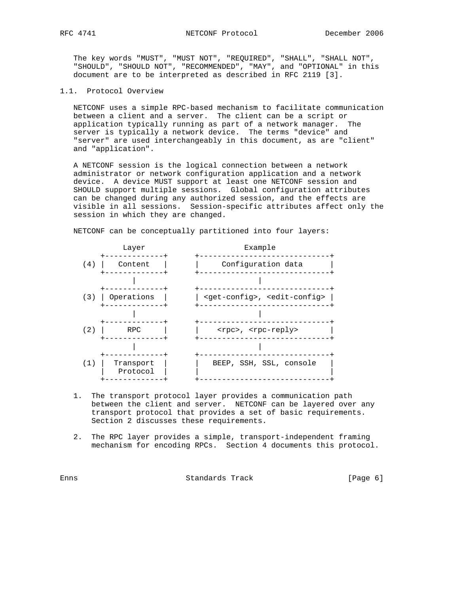The key words "MUST", "MUST NOT", "REQUIRED", "SHALL", "SHALL NOT", "SHOULD", "SHOULD NOT", "RECOMMENDED", "MAY", and "OPTIONAL" in this document are to be interpreted as described in RFC 2119 [3].

1.1. Protocol Overview

 NETCONF uses a simple RPC-based mechanism to facilitate communication between a client and a server. The client can be a script or application typically running as part of a network manager. The server is typically a network device. The terms "device" and "server" are used interchangeably in this document, as are "client" and "application".

 A NETCONF session is the logical connection between a network administrator or network configuration application and a network device. A device MUST support at least one NETCONF session and SHOULD support multiple sessions. Global configuration attributes can be changed during any authorized session, and the effects are visible in all sessions. Session-specific attributes affect only the session in which they are changed.



NETCONF can be conceptually partitioned into four layers:

- 1. The transport protocol layer provides a communication path between the client and server. NETCONF can be layered over any transport protocol that provides a set of basic requirements. Section 2 discusses these requirements.
- 2. The RPC layer provides a simple, transport-independent framing mechanism for encoding RPCs. Section 4 documents this protocol.

Enns **Enns** Standards Track **Enns** [Page 6]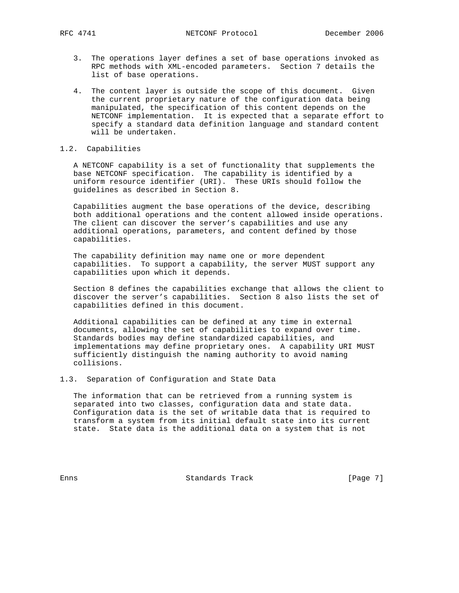- 3. The operations layer defines a set of base operations invoked as RPC methods with XML-encoded parameters. Section 7 details the list of base operations.
- 4. The content layer is outside the scope of this document. Given the current proprietary nature of the configuration data being manipulated, the specification of this content depends on the NETCONF implementation. It is expected that a separate effort to specify a standard data definition language and standard content will be undertaken.

# 1.2. Capabilities

 A NETCONF capability is a set of functionality that supplements the base NETCONF specification. The capability is identified by a uniform resource identifier (URI). These URIs should follow the guidelines as described in Section 8.

 Capabilities augment the base operations of the device, describing both additional operations and the content allowed inside operations. The client can discover the server's capabilities and use any additional operations, parameters, and content defined by those capabilities.

 The capability definition may name one or more dependent capabilities. To support a capability, the server MUST support any capabilities upon which it depends.

 Section 8 defines the capabilities exchange that allows the client to discover the server's capabilities. Section 8 also lists the set of capabilities defined in this document.

 Additional capabilities can be defined at any time in external documents, allowing the set of capabilities to expand over time. Standards bodies may define standardized capabilities, and implementations may define proprietary ones. A capability URI MUST sufficiently distinguish the naming authority to avoid naming collisions.

1.3. Separation of Configuration and State Data

 The information that can be retrieved from a running system is separated into two classes, configuration data and state data. Configuration data is the set of writable data that is required to transform a system from its initial default state into its current state. State data is the additional data on a system that is not

Enns Standards Track [Page 7]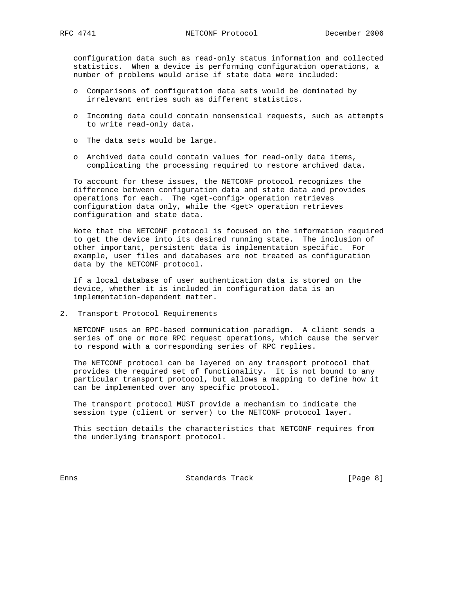configuration data such as read-only status information and collected statistics. When a device is performing configuration operations, a number of problems would arise if state data were included:

- o Comparisons of configuration data sets would be dominated by irrelevant entries such as different statistics.
- o Incoming data could contain nonsensical requests, such as attempts to write read-only data.
- o The data sets would be large.
- o Archived data could contain values for read-only data items, complicating the processing required to restore archived data.

 To account for these issues, the NETCONF protocol recognizes the difference between configuration data and state data and provides operations for each. The <get-config> operation retrieves configuration data only, while the <get> operation retrieves configuration and state data.

 Note that the NETCONF protocol is focused on the information required to get the device into its desired running state. The inclusion of other important, persistent data is implementation specific. For example, user files and databases are not treated as configuration data by the NETCONF protocol.

 If a local database of user authentication data is stored on the device, whether it is included in configuration data is an implementation-dependent matter.

2. Transport Protocol Requirements

 NETCONF uses an RPC-based communication paradigm. A client sends a series of one or more RPC request operations, which cause the server to respond with a corresponding series of RPC replies.

 The NETCONF protocol can be layered on any transport protocol that provides the required set of functionality. It is not bound to any particular transport protocol, but allows a mapping to define how it can be implemented over any specific protocol.

 The transport protocol MUST provide a mechanism to indicate the session type (client or server) to the NETCONF protocol layer.

 This section details the characteristics that NETCONF requires from the underlying transport protocol.

Enns Standards Track [Page 8]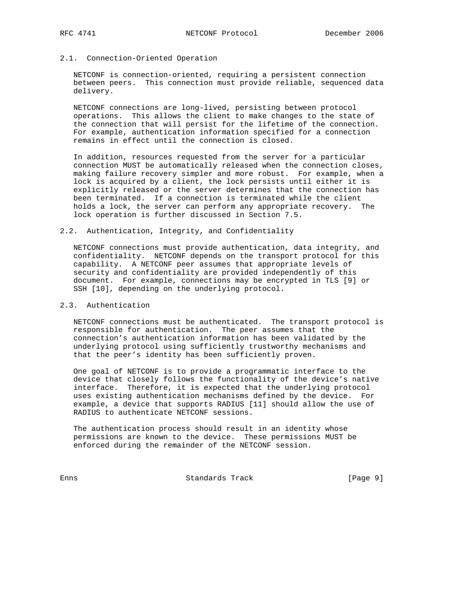## 2.1. Connection-Oriented Operation

 NETCONF is connection-oriented, requiring a persistent connection between peers. This connection must provide reliable, sequenced data delivery.

 NETCONF connections are long-lived, persisting between protocol operations. This allows the client to make changes to the state of the connection that will persist for the lifetime of the connection. For example, authentication information specified for a connection remains in effect until the connection is closed.

 In addition, resources requested from the server for a particular connection MUST be automatically released when the connection closes, making failure recovery simpler and more robust. For example, when a lock is acquired by a client, the lock persists until either it is explicitly released or the server determines that the connection has been terminated. If a connection is terminated while the client holds a lock, the server can perform any appropriate recovery. The lock operation is further discussed in Section 7.5.

# 2.2. Authentication, Integrity, and Confidentiality

 NETCONF connections must provide authentication, data integrity, and confidentiality. NETCONF depends on the transport protocol for this capability. A NETCONF peer assumes that appropriate levels of security and confidentiality are provided independently of this document. For example, connections may be encrypted in TLS [9] or SSH [10], depending on the underlying protocol.

## 2.3. Authentication

 NETCONF connections must be authenticated. The transport protocol is responsible for authentication. The peer assumes that the connection's authentication information has been validated by the underlying protocol using sufficiently trustworthy mechanisms and that the peer's identity has been sufficiently proven.

 One goal of NETCONF is to provide a programmatic interface to the device that closely follows the functionality of the device's native interface. Therefore, it is expected that the underlying protocol uses existing authentication mechanisms defined by the device. For example, a device that supports RADIUS [11] should allow the use of RADIUS to authenticate NETCONF sessions.

 The authentication process should result in an identity whose permissions are known to the device. These permissions MUST be enforced during the remainder of the NETCONF session.

Enns Standards Track [Page 9]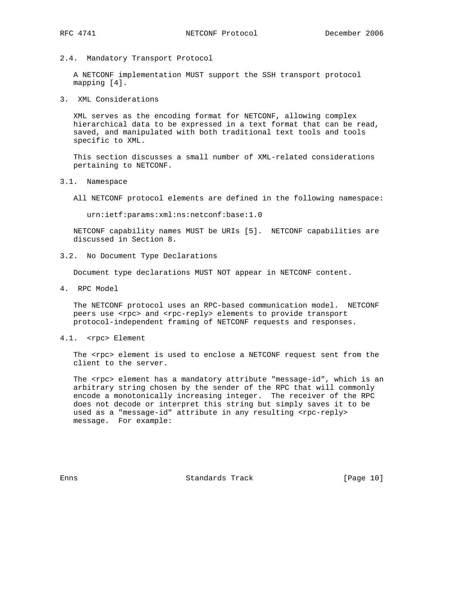2.4. Mandatory Transport Protocol

 A NETCONF implementation MUST support the SSH transport protocol mapping [4].

3. XML Considerations

 XML serves as the encoding format for NETCONF, allowing complex hierarchical data to be expressed in a text format that can be read, saved, and manipulated with both traditional text tools and tools specific to XML.

 This section discusses a small number of XML-related considerations pertaining to NETCONF.

3.1. Namespace

All NETCONF protocol elements are defined in the following namespace:

urn:ietf:params:xml:ns:netconf:base:1.0

 NETCONF capability names MUST be URIs [5]. NETCONF capabilities are discussed in Section 8.

3.2. No Document Type Declarations

Document type declarations MUST NOT appear in NETCONF content.

4. RPC Model

 The NETCONF protocol uses an RPC-based communication model. NETCONF peers use <rpc> and <rpc-reply> elements to provide transport protocol-independent framing of NETCONF requests and responses.

4.1. <rpc> Element

The <rpc> element is used to enclose a NETCONF request sent from the client to the server.

The <rpc> element has a mandatory attribute "message-id", which is an arbitrary string chosen by the sender of the RPC that will commonly encode a monotonically increasing integer. The receiver of the RPC does not decode or interpret this string but simply saves it to be used as a "message-id" attribute in any resulting <rpc-reply> message. For example:

Enns Standards Track [Page 10]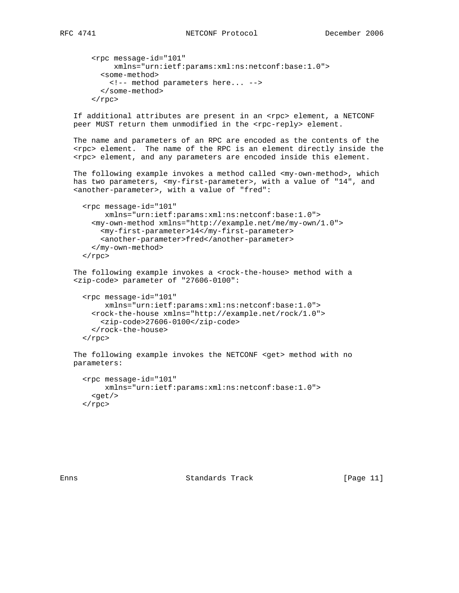```
 <rpc message-id="101"
      xmlns="urn:ietf:params:xml:ns:netconf:base:1.0">
   <some-method>
     <!-- method parameters here... -->
   </some-method>
\langle / rpc
```
If additional attributes are present in an <rpc> element, a NETCONF peer MUST return them unmodified in the <rpc-reply> element.

 The name and parameters of an RPC are encoded as the contents of the <rpc> element. The name of the RPC is an element directly inside the <rpc> element, and any parameters are encoded inside this element.

 The following example invokes a method called <my-own-method>, which has two parameters, <my-first-parameter>, with a value of "14", and <another-parameter>, with a value of "fred":

```
 <rpc message-id="101"
     xmlns="urn:ietf:params:xml:ns:netconf:base:1.0">
   <my-own-method xmlns="http://example.net/me/my-own/1.0">
    <my-first-parameter>14</my-first-parameter>
     <another-parameter>fred</another-parameter>
   </my-own-method>
\langle rpc>
```
The following example invokes a <rock-the-house> method with a <zip-code> parameter of "27606-0100":

```
 <rpc message-id="101"
     xmlns="urn:ietf:params:xml:ns:netconf:base:1.0">
   <rock-the-house xmlns="http://example.net/rock/1.0">
     <zip-code>27606-0100</zip-code>
   </rock-the-house>
\langle rpc>
```
 The following example invokes the NETCONF <get> method with no parameters:

```
 <rpc message-id="101"
      xmlns="urn:ietf:params:xml:ns:netconf:base:1.0">
  <get/>
\langle rpc>
```
Enns Standards Track [Page 11]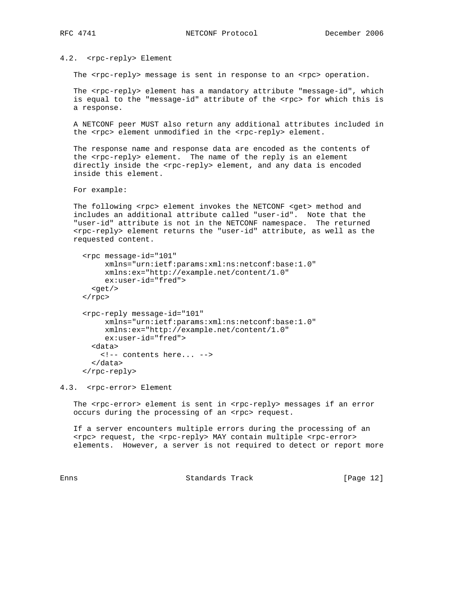# 4.2. <rpc-reply> Element

The <rpc-reply> message is sent in response to an <rpc> operation.

The <rpc-reply> element has a mandatory attribute "message-id", which is equal to the "message-id" attribute of the <rpc> for which this is a response.

 A NETCONF peer MUST also return any additional attributes included in the <rpc> element unmodified in the <rpc-reply> element.

 The response name and response data are encoded as the contents of the <rpc-reply> element. The name of the reply is an element directly inside the <rpc-reply> element, and any data is encoded inside this element.

For example:

The following <rpc> element invokes the NETCONF <get> method and includes an additional attribute called "user-id". Note that the "user-id" attribute is not in the NETCONF namespace. The returned <rpc-reply> element returns the "user-id" attribute, as well as the requested content.

```
 <rpc message-id="101"
      xmlns="urn:ietf:params:xml:ns:netconf:base:1.0"
      xmlns:ex="http://example.net/content/1.0"
      ex:user-id="fred">
   <get/>
\langle rpc>
 <rpc-reply message-id="101"
     xmlns="urn:ietf:params:xml:ns:netconf:base:1.0"
     xmlns:ex="http://example.net/content/1.0"
```

```
 ex:user-id="fred">
   <data>
     <!-- contents here... -->
   </data>
 </rpc-reply>
```
#### 4.3. <rpc-error> Element

The <rpc-error> element is sent in <rpc-reply> messages if an error occurs during the processing of an <rpc> request.

 If a server encounters multiple errors during the processing of an <rpc> request, the <rpc-reply> MAY contain multiple <rpc-error> elements. However, a server is not required to detect or report more

Enns Standards Track [Page 12]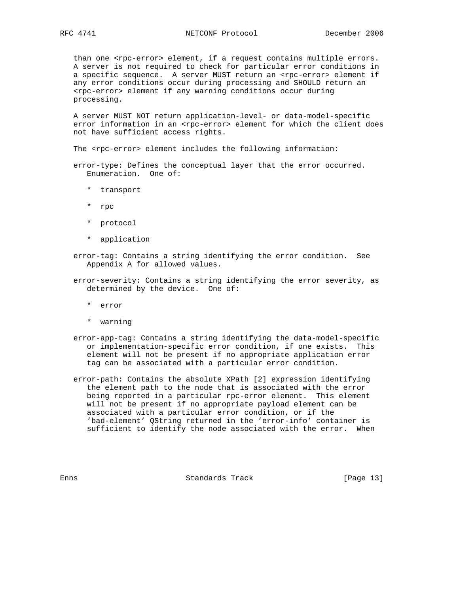than one <rpc-error> element, if a request contains multiple errors. A server is not required to check for particular error conditions in a specific sequence. A server MUST return an <rpc-error> element if any error conditions occur during processing and SHOULD return an <rpc-error> element if any warning conditions occur during processing.

 A server MUST NOT return application-level- or data-model-specific error information in an <rpc-error> element for which the client does not have sufficient access rights.

The <rpc-error> element includes the following information:

 error-type: Defines the conceptual layer that the error occurred. Enumeration. One of:

- \* transport
- \* rpc
- \* protocol
- \* application
- error-tag: Contains a string identifying the error condition. See Appendix A for allowed values.
- error-severity: Contains a string identifying the error severity, as determined by the device. One of:
	- \* error
	- \* warning
- error-app-tag: Contains a string identifying the data-model-specific or implementation-specific error condition, if one exists. This element will not be present if no appropriate application error tag can be associated with a particular error condition.
- error-path: Contains the absolute XPath [2] expression identifying the element path to the node that is associated with the error being reported in a particular rpc-error element. This element will not be present if no appropriate payload element can be associated with a particular error condition, or if the 'bad-element' QString returned in the 'error-info' container is sufficient to identify the node associated with the error. When

Enns Standards Track [Page 13]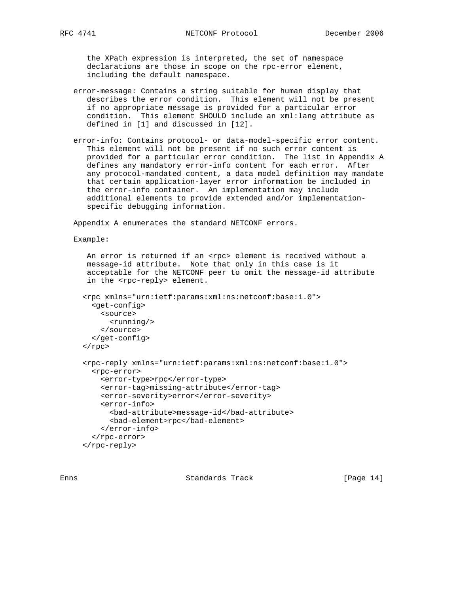the XPath expression is interpreted, the set of namespace declarations are those in scope on the rpc-error element, including the default namespace.

- error-message: Contains a string suitable for human display that describes the error condition. This element will not be present if no appropriate message is provided for a particular error condition. This element SHOULD include an xml:lang attribute as defined in [1] and discussed in [12].
- error-info: Contains protocol- or data-model-specific error content. This element will not be present if no such error content is provided for a particular error condition. The list in Appendix A defines any mandatory error-info content for each error. After any protocol-mandated content, a data model definition may mandate that certain application-layer error information be included in the error-info container. An implementation may include additional elements to provide extended and/or implementation specific debugging information.

Appendix A enumerates the standard NETCONF errors.

### Example:

An error is returned if an <rpc> element is received without a message-id attribute. Note that only in this case is it acceptable for the NETCONF peer to omit the message-id attribute in the <rpc-reply> element.

```
 <rpc xmlns="urn:ietf:params:xml:ns:netconf:base:1.0">
  <get-config>
     <source>
       <running/>
     </source>
   </get-config>
\langle /rpc>
 <rpc-reply xmlns="urn:ietf:params:xml:ns:netconf:base:1.0">
   <rpc-error>
     <error-type>rpc</error-type>
     <error-tag>missing-attribute</error-tag>
     <error-severity>error</error-severity>
     <error-info>
       <bad-attribute>message-id</bad-attribute>
       <bad-element>rpc</bad-element>
     </error-info>
   </rpc-error>
 </rpc-reply>
```
Enns Standards Track [Page 14]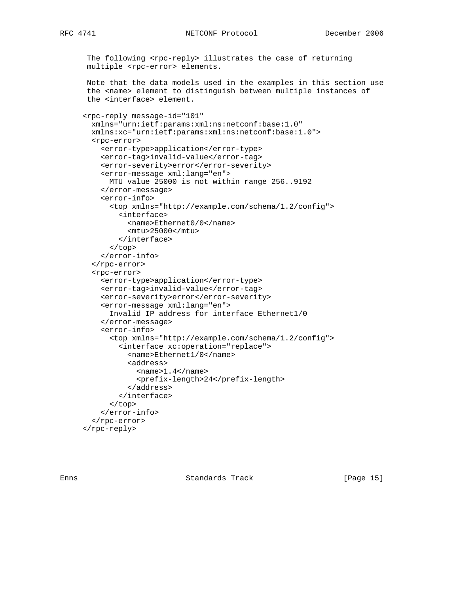```
The following <rpc-reply> illustrates the case of returning
 multiple <rpc-error> elements.
 Note that the data models used in the examples in this section use
 the <name> element to distinguish between multiple instances of
 the <interface> element.
 <rpc-reply message-id="101"
  xmlns="urn:ietf:params:xml:ns:netconf:base:1.0"
  xmlns:xc="urn:ietf:params:xml:ns:netconf:base:1.0">
  <rpc-error>
    <error-type>application</error-type>
    <error-tag>invalid-value</error-tag>
     <error-severity>error</error-severity>
    <error-message xml:lang="en">
      MTU value 25000 is not within range 256..9192
    </error-message>
    <error-info>
      <top xmlns="http://example.com/schema/1.2/config">
         <interface>
           <name>Ethernet0/0</name>
           <mtu>25000</mtu>
         </interface>
       </top>
     </error-info>
   </rpc-error>
   <rpc-error>
    <error-type>application</error-type>
    <error-tag>invalid-value</error-tag>
    <error-severity>error</error-severity>
    <error-message xml:lang="en">
      Invalid IP address for interface Ethernet1/0
     </error-message>
     <error-info>
       <top xmlns="http://example.com/schema/1.2/config">
         <interface xc:operation="replace">
           <name>Ethernet1/0</name>
           <address>
            <name>1.4</name> <prefix-length>24</prefix-length>
           </address>
         </interface>
       </top>
     </error-info>
   </rpc-error>
 </rpc-reply>
```
Enns Standards Track [Page 15]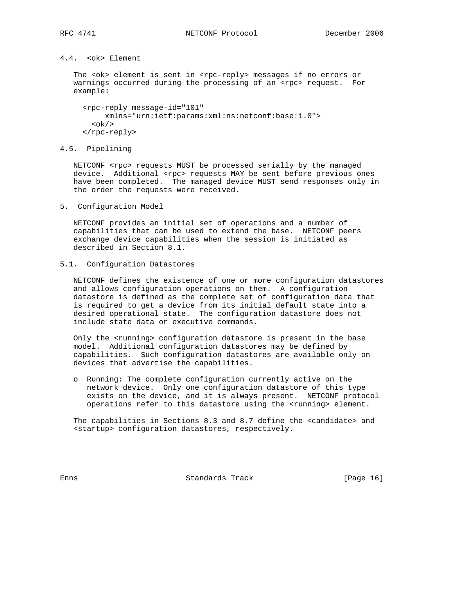4.4. <ok> Element

The <ok> element is sent in <rpc-reply> messages if no errors or warnings occurred during the processing of an <rpc> request. For example:

 <rpc-reply message-id="101" xmlns="urn:ietf:params:xml:ns:netconf:base:1.0">  $$ </rpc-reply>

4.5. Pipelining

NETCONF <rpc> requests MUST be processed serially by the managed device. Additional <rpc> requests MAY be sent before previous ones have been completed. The managed device MUST send responses only in the order the requests were received.

5. Configuration Model

 NETCONF provides an initial set of operations and a number of capabilities that can be used to extend the base. NETCONF peers exchange device capabilities when the session is initiated as described in Section 8.1.

5.1. Configuration Datastores

 NETCONF defines the existence of one or more configuration datastores and allows configuration operations on them. A configuration datastore is defined as the complete set of configuration data that is required to get a device from its initial default state into a desired operational state. The configuration datastore does not include state data or executive commands.

 Only the <running> configuration datastore is present in the base model. Additional configuration datastores may be defined by capabilities. Such configuration datastores are available only on devices that advertise the capabilities.

 o Running: The complete configuration currently active on the network device. Only one configuration datastore of this type exists on the device, and it is always present. NETCONF protocol operations refer to this datastore using the <running> element.

 The capabilities in Sections 8.3 and 8.7 define the <candidate> and <startup> configuration datastores, respectively.

Enns Standards Track [Page 16]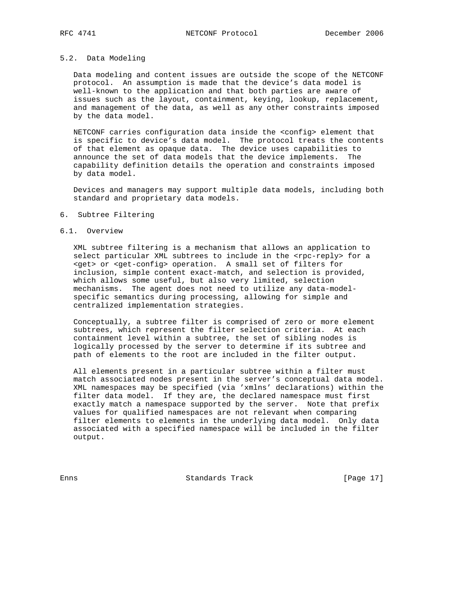#### 5.2. Data Modeling

 Data modeling and content issues are outside the scope of the NETCONF protocol. An assumption is made that the device's data model is well-known to the application and that both parties are aware of issues such as the layout, containment, keying, lookup, replacement, and management of the data, as well as any other constraints imposed by the data model.

 NETCONF carries configuration data inside the <config> element that is specific to device's data model. The protocol treats the contents of that element as opaque data. The device uses capabilities to announce the set of data models that the device implements. The capability definition details the operation and constraints imposed by data model.

 Devices and managers may support multiple data models, including both standard and proprietary data models.

- 6. Subtree Filtering
- 6.1. Overview

 XML subtree filtering is a mechanism that allows an application to select particular XML subtrees to include in the <rpc-reply> for a <get> or <get-config> operation. A small set of filters for inclusion, simple content exact-match, and selection is provided, which allows some useful, but also very limited, selection mechanisms. The agent does not need to utilize any data-model specific semantics during processing, allowing for simple and centralized implementation strategies.

 Conceptually, a subtree filter is comprised of zero or more element subtrees, which represent the filter selection criteria. At each containment level within a subtree, the set of sibling nodes is logically processed by the server to determine if its subtree and path of elements to the root are included in the filter output.

 All elements present in a particular subtree within a filter must match associated nodes present in the server's conceptual data model. XML namespaces may be specified (via 'xmlns' declarations) within the filter data model. If they are, the declared namespace must first exactly match a namespace supported by the server. Note that prefix values for qualified namespaces are not relevant when comparing filter elements to elements in the underlying data model. Only data associated with a specified namespace will be included in the filter output.

Enns Standards Track [Page 17]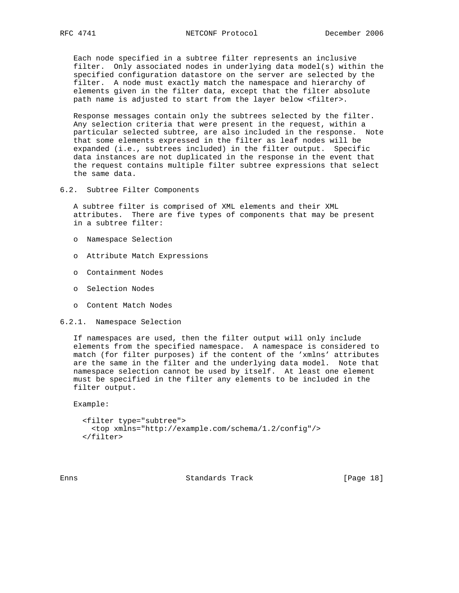Each node specified in a subtree filter represents an inclusive filter. Only associated nodes in underlying data model(s) within the specified configuration datastore on the server are selected by the filter. A node must exactly match the namespace and hierarchy of elements given in the filter data, except that the filter absolute path name is adjusted to start from the layer below <filter>.

 Response messages contain only the subtrees selected by the filter. Any selection criteria that were present in the request, within a particular selected subtree, are also included in the response. Note that some elements expressed in the filter as leaf nodes will be expanded (i.e., subtrees included) in the filter output. Specific data instances are not duplicated in the response in the event that the request contains multiple filter subtree expressions that select the same data.

6.2. Subtree Filter Components

 A subtree filter is comprised of XML elements and their XML attributes. There are five types of components that may be present in a subtree filter:

- o Namespace Selection
- o Attribute Match Expressions
- o Containment Nodes
- o Selection Nodes
- o Content Match Nodes
- 6.2.1. Namespace Selection

 If namespaces are used, then the filter output will only include elements from the specified namespace. A namespace is considered to match (for filter purposes) if the content of the 'xmlns' attributes are the same in the filter and the underlying data model. Note that namespace selection cannot be used by itself. At least one element must be specified in the filter any elements to be included in the filter output.

Example:

```
 <filter type="subtree">
  <top xmlns="http://example.com/schema/1.2/config"/>
 </filter>
```
Enns Standards Track [Page 18]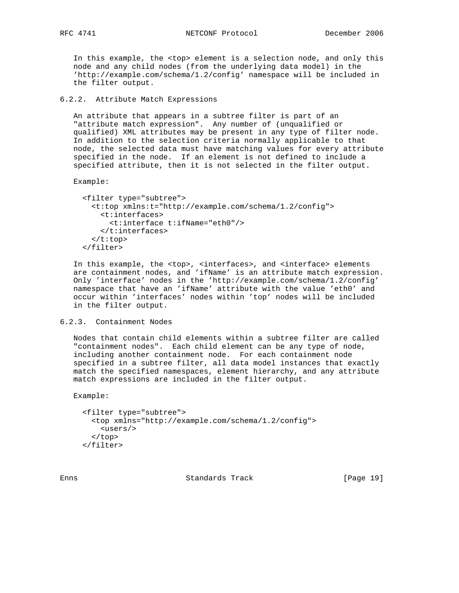RFC 4741 NETCONF Protocol December 2006

 In this example, the <top> element is a selection node, and only this node and any child nodes (from the underlying data model) in the 'http://example.com/schema/1.2/config' namespace will be included in the filter output.

## 6.2.2. Attribute Match Expressions

 An attribute that appears in a subtree filter is part of an "attribute match expression". Any number of (unqualified or qualified) XML attributes may be present in any type of filter node. In addition to the selection criteria normally applicable to that node, the selected data must have matching values for every attribute specified in the node. If an element is not defined to include a specified attribute, then it is not selected in the filter output.

Example:

```
 <filter type="subtree">
   <t:top xmlns:t="http://example.com/schema/1.2/config">
     <t:interfaces>
        <t:interface t:ifName="eth0"/>
    \langle t:interfaces \rangle\langle t:top \rangle </filter>
```
 In this example, the <top>, <interfaces>, and <interface> elements are containment nodes, and 'ifName' is an attribute match expression. Only 'interface' nodes in the 'http://example.com/schema/1.2/config' namespace that have an 'ifName' attribute with the value 'eth0' and occur within 'interfaces' nodes within 'top' nodes will be included in the filter output.

# 6.2.3. Containment Nodes

 Nodes that contain child elements within a subtree filter are called "containment nodes". Each child element can be any type of node, including another containment node. For each containment node specified in a subtree filter, all data model instances that exactly match the specified namespaces, element hierarchy, and any attribute match expressions are included in the filter output.

Example:

```
 <filter type="subtree">
   <top xmlns="http://example.com/schema/1.2/config">
     <users/>
   </top>
 </filter>
```
Enns Standards Track [Page 19]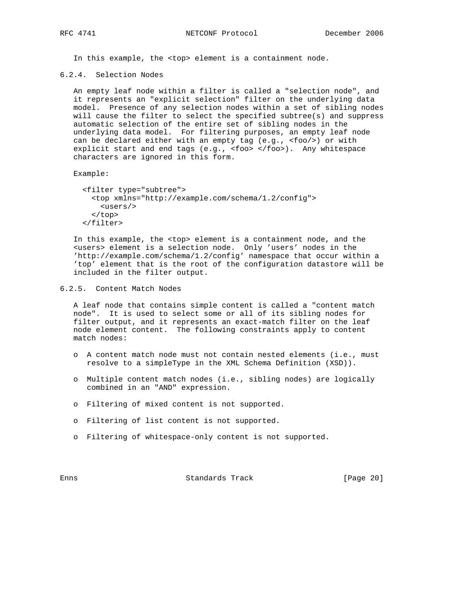In this example, the <top> element is a containment node.

#### 6.2.4. Selection Nodes

 An empty leaf node within a filter is called a "selection node", and it represents an "explicit selection" filter on the underlying data model. Presence of any selection nodes within a set of sibling nodes will cause the filter to select the specified subtree(s) and suppress automatic selection of the entire set of sibling nodes in the underlying data model. For filtering purposes, an empty leaf node can be declared either with an empty tag (e.g., <foo/>) or with explicit start and end tags (e.g., <foo> </foo>). Any whitespace characters are ignored in this form.

Example:

```
 <filter type="subtree">
   <top xmlns="http://example.com/schema/1.2/config">
     <users/>
   </top>
 </filter>
```
 In this example, the <top> element is a containment node, and the <users> element is a selection node. Only 'users' nodes in the 'http://example.com/schema/1.2/config' namespace that occur within a 'top' element that is the root of the configuration datastore will be included in the filter output.

6.2.5. Content Match Nodes

 A leaf node that contains simple content is called a "content match node". It is used to select some or all of its sibling nodes for filter output, and it represents an exact-match filter on the leaf node element content. The following constraints apply to content match nodes:

- o A content match node must not contain nested elements (i.e., must resolve to a simpleType in the XML Schema Definition (XSD)).
- o Multiple content match nodes (i.e., sibling nodes) are logically combined in an "AND" expression.
- o Filtering of mixed content is not supported.
- o Filtering of list content is not supported.
- o Filtering of whitespace-only content is not supported.

Enns Standards Track [Page 20]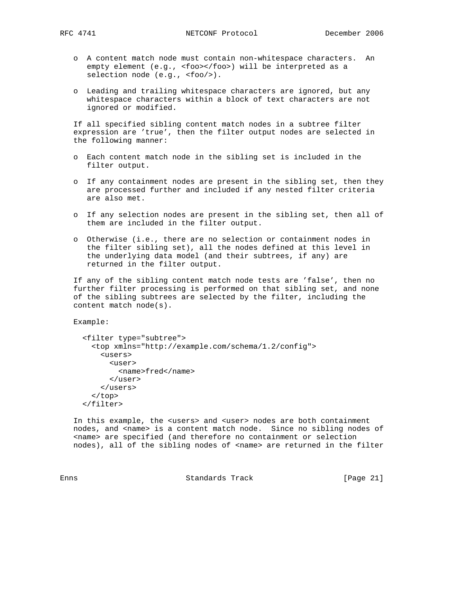- o A content match node must contain non-whitespace characters. An empty element (e.g., <foo></foo>) will be interpreted as a selection node (e.g., <foo/>).
- o Leading and trailing whitespace characters are ignored, but any whitespace characters within a block of text characters are not ignored or modified.

 If all specified sibling content match nodes in a subtree filter expression are 'true', then the filter output nodes are selected in the following manner:

- o Each content match node in the sibling set is included in the filter output.
- o If any containment nodes are present in the sibling set, then they are processed further and included if any nested filter criteria are also met.
- o If any selection nodes are present in the sibling set, then all of them are included in the filter output.
- o Otherwise (i.e., there are no selection or containment nodes in the filter sibling set), all the nodes defined at this level in the underlying data model (and their subtrees, if any) are returned in the filter output.

 If any of the sibling content match node tests are 'false', then no further filter processing is performed on that sibling set, and none of the sibling subtrees are selected by the filter, including the content match node(s).

Example:

```
 <filter type="subtree">
   <top xmlns="http://example.com/schema/1.2/config">
     <users>
       <user>
         <name>fred</name>
       </user>
    </users>
   </top>
 </filter>
```
 In this example, the <users> and <user> nodes are both containment nodes, and <name> is a content match node. Since no sibling nodes of <name> are specified (and therefore no containment or selection nodes), all of the sibling nodes of <name> are returned in the filter

Enns Standards Track [Page 21]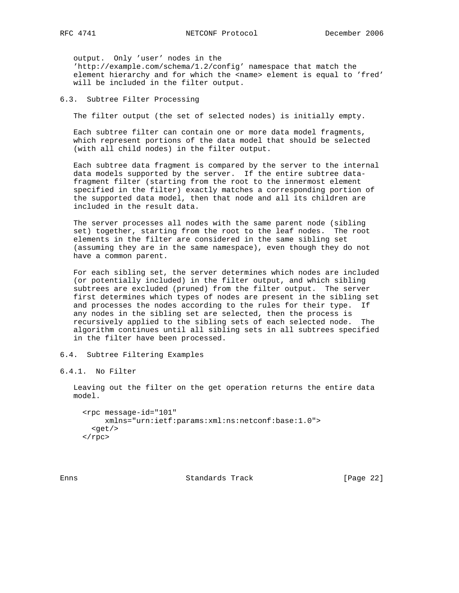output. Only 'user' nodes in the 'http://example.com/schema/1.2/config' namespace that match the element hierarchy and for which the <name> element is equal to 'fred' will be included in the filter output.

6.3. Subtree Filter Processing

The filter output (the set of selected nodes) is initially empty.

 Each subtree filter can contain one or more data model fragments, which represent portions of the data model that should be selected (with all child nodes) in the filter output.

 Each subtree data fragment is compared by the server to the internal data models supported by the server. If the entire subtree data fragment filter (starting from the root to the innermost element specified in the filter) exactly matches a corresponding portion of the supported data model, then that node and all its children are included in the result data.

 The server processes all nodes with the same parent node (sibling set) together, starting from the root to the leaf nodes. The root elements in the filter are considered in the same sibling set (assuming they are in the same namespace), even though they do not have a common parent.

 For each sibling set, the server determines which nodes are included (or potentially included) in the filter output, and which sibling subtrees are excluded (pruned) from the filter output. The server first determines which types of nodes are present in the sibling set and processes the nodes according to the rules for their type. If any nodes in the sibling set are selected, then the process is recursively applied to the sibling sets of each selected node. The algorithm continues until all sibling sets in all subtrees specified in the filter have been processed.

6.4. Subtree Filtering Examples

6.4.1. No Filter

 Leaving out the filter on the get operation returns the entire data model.

```
 <rpc message-id="101"
      xmlns="urn:ietf:params:xml:ns:netconf:base:1.0">
  <get/>
\langle rpc>
```
Enns Standards Track [Page 22]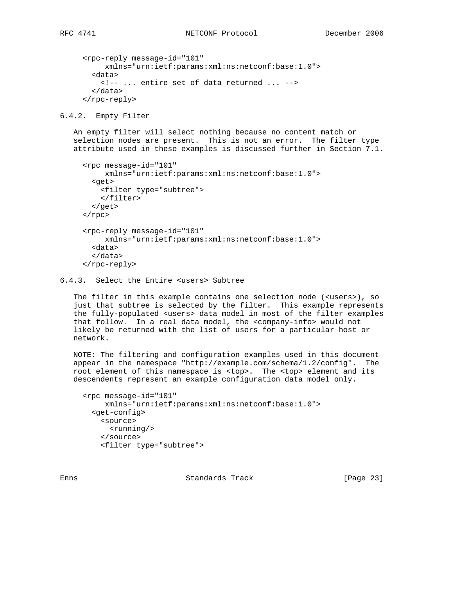```
 <rpc-reply message-id="101"
      xmlns="urn:ietf:params:xml:ns:netconf:base:1.0">
   <data>
     <!-- ... entire set of data returned ... -->
   </data>
 </rpc-reply>
```
6.4.2. Empty Filter

 An empty filter will select nothing because no content match or selection nodes are present. This is not an error. The filter type attribute used in these examples is discussed further in Section 7.1.

```
 <rpc message-id="101"
      xmlns="urn:ietf:params:xml:ns:netconf:base:1.0">
   <get>
     <filter type="subtree">
     </filter>
   </get>
\langle rpc>
 <rpc-reply message-id="101"
      xmlns="urn:ietf:params:xml:ns:netconf:base:1.0">
   <data>
  </data>
 </rpc-reply>
```
### 6.4.3. Select the Entire <users> Subtree

The filter in this example contains one selection node (<users>), so just that subtree is selected by the filter. This example represents the fully-populated <users> data model in most of the filter examples that follow. In a real data model, the <company-info> would not likely be returned with the list of users for a particular host or network.

 NOTE: The filtering and configuration examples used in this document appear in the namespace "http://example.com/schema/1.2/config". The root element of this namespace is <top>. The <top> element and its descendents represent an example configuration data model only.

```
 <rpc message-id="101"
     xmlns="urn:ietf:params:xml:ns:netconf:base:1.0">
   <get-config>
     <source>
       <running/>
     </source>
     <filter type="subtree">
```
Enns Standards Track [Page 23]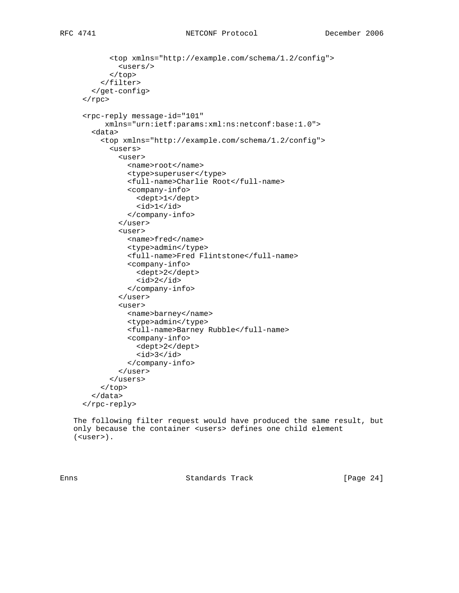```
 <top xmlns="http://example.com/schema/1.2/config">
         <users/>
       </top>
     </filter>
   </get-config>
\langle rpc>
 <rpc-reply message-id="101"
      xmlns="urn:ietf:params:xml:ns:netconf:base:1.0">
   <data>
     <top xmlns="http://example.com/schema/1.2/config">
       <users>
         <user>
           <name>root</name>
           <type>superuser</type>
           <full-name>Charlie Root</full-name>
           <company-info>
              <dept>1</dept>
             <id>1</id>
            </company-info>
         </user>
         <user>
           <name>fred</name>
           <type>admin</type>
           <full-name>Fred Flintstone</full-name>
           <company-info>
              <dept>2</dept>
             <id>2</id>
            </company-info>
         </user>
         <user>
           <name>barney</name>
            <type>admin</type>
           <full-name>Barney Rubble</full-name>
            <company-info>
              <dept>2</dept>
             <id>3</id>
            </company-info>
         </user>
       </users>
     </top>
   </data>
 </rpc-reply>
```
 The following filter request would have produced the same result, but only because the container <users> defines one child element (<user>).

Enns Standards Track [Page 24]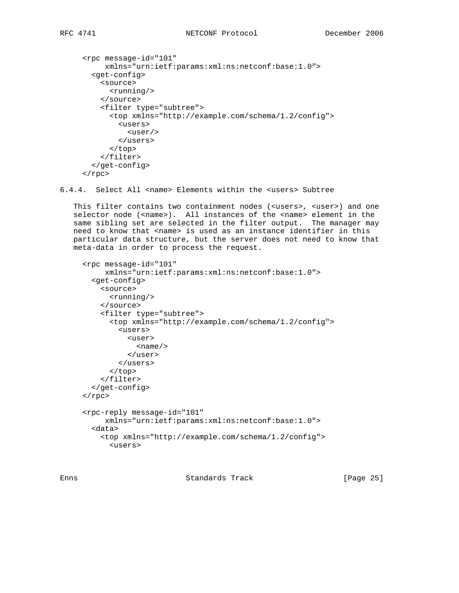```
 <rpc message-id="101"
      xmlns="urn:ietf:params:xml:ns:netconf:base:1.0">
   <get-config>
     <source>
       <running/>
     </source>
     <filter type="subtree">
       <top xmlns="http://example.com/schema/1.2/config">
         <users>
           <user/>
         </users>
       </top>
     </filter>
   </get-config>
\langle rpc>
```
6.4.4. Select All <name> Elements within the <users> Subtree

 This filter contains two containment nodes (<users>, <user>) and one selector node (<name>). All instances of the <name> element in the same sibling set are selected in the filter output. The manager may need to know that <name> is used as an instance identifier in this particular data structure, but the server does not need to know that meta-data in order to process the request.

```
 <rpc message-id="101"
      xmlns="urn:ietf:params:xml:ns:netconf:base:1.0">
   <get-config>
     <source>
       <running/>
     </source>
     <filter type="subtree">
       <top xmlns="http://example.com/schema/1.2/config">
         <users>
           <user>
            <name/ </user>
         </users>
       </top>
     </filter>
   </get-config>
\langle / rpc <rpc-reply message-id="101"
      xmlns="urn:ietf:params:xml:ns:netconf:base:1.0">
   <data>
     <top xmlns="http://example.com/schema/1.2/config">
       <users>
```
Enns Standards Track [Page 25]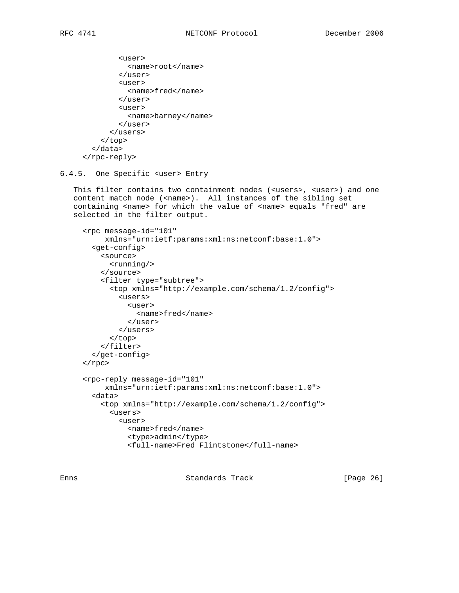```
 <user>
            <name>root</name>
          </user>
          <user>
            <name>fred</name>
          </user>
          <user>
            <name>barney</name>
          </user>
       </users>
     </top>
   </data>
 </rpc-reply>
```
6.4.5. One Specific <user> Entry

 This filter contains two containment nodes (<users>, <user>) and one content match node (<name>). All instances of the sibling set containing <name> for which the value of <name> equals "fred" are selected in the filter output.

```
 <rpc message-id="101"
      xmlns="urn:ietf:params:xml:ns:netconf:base:1.0">
   <get-config>
     <source>
      <running/>
     </source>
     <filter type="subtree">
       <top xmlns="http://example.com/schema/1.2/config">
         <users>
           <user>
             <name>fred</name>
           </user>
         </users>
       </top>
     </filter>
   </get-config>
\langle rpc>
 <rpc-reply message-id="101"
      xmlns="urn:ietf:params:xml:ns:netconf:base:1.0">
   <data>
     <top xmlns="http://example.com/schema/1.2/config">
       <users>
         <user>
           <name>fred</name>
           <type>admin</type>
           <full-name>Fred Flintstone</full-name>
```
Enns Standards Track [Page 26]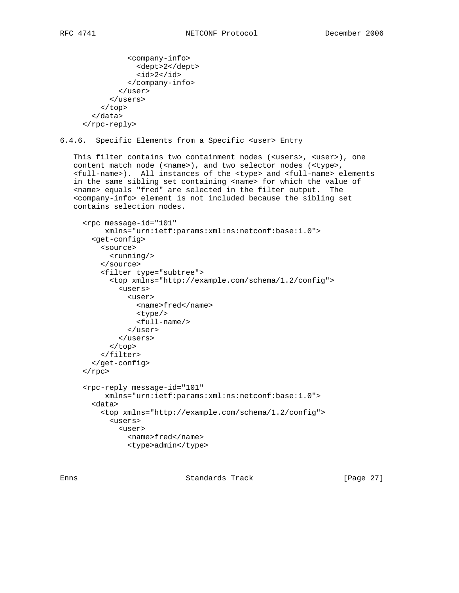```
 <company-info>
              <dept>2</dept>
             <id>2</id>
            </company-info>
          </user>
       </users>
     </top>
   </data>
 </rpc-reply>
```
6.4.6. Specific Elements from a Specific <user> Entry

 This filter contains two containment nodes (<users>, <user>), one content match node (<name>), and two selector nodes (<type>, <full-name>). All instances of the <type> and <full-name> elements in the same sibling set containing <name> for which the value of <name> equals "fred" are selected in the filter output. The <company-info> element is not included because the sibling set contains selection nodes.

```
 <rpc message-id="101"
      xmlns="urn:ietf:params:xml:ns:netconf:base:1.0">
   <get-config>
     <source>
       <running/>
     </source>
     <filter type="subtree">
       <top xmlns="http://example.com/schema/1.2/config">
         <users>
          \langleuser>
             <name>fred</name>
             <type/>
             <full-name/>
           </user>
         </users>
       </top>
     </filter>
   </get-config>
\langle rpc>
 <rpc-reply message-id="101"
      xmlns="urn:ietf:params:xml:ns:netconf:base:1.0">
   <data>
     <top xmlns="http://example.com/schema/1.2/config">
       <users>
         <user>
           <name>fred</name>
           <type>admin</type>
```
Enns Standards Track [Page 27]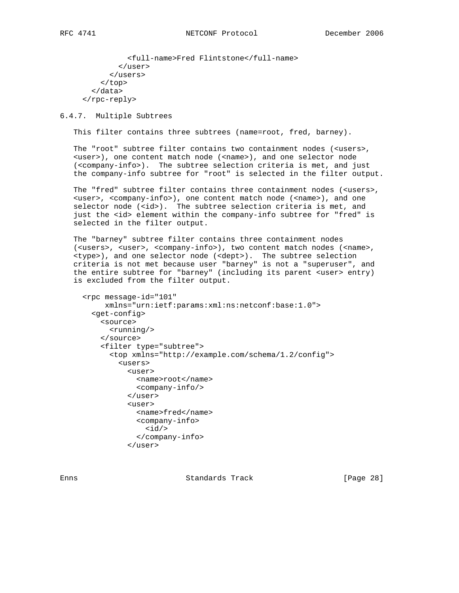```
 <full-name>Fred Flintstone</full-name>
         </user>
       </users>
     </top>
   </data>
 </rpc-reply>
```
6.4.7. Multiple Subtrees

This filter contains three subtrees (name=root, fred, barney).

 The "root" subtree filter contains two containment nodes (<users>, <user>), one content match node (<name>), and one selector node (<company-info>). The subtree selection criteria is met, and just the company-info subtree for "root" is selected in the filter output.

The "fred" subtree filter contains three containment nodes (<users>, <user>, <company-info>), one content match node (<name>), and one selector node (<id>). The subtree selection criteria is met, and just the <id> element within the company-info subtree for "fred" is selected in the filter output.

 The "barney" subtree filter contains three containment nodes (<users>, <user>, <company-info>), two content match nodes (<name>, <type>), and one selector node (<dept>). The subtree selection criteria is not met because user "barney" is not a "superuser", and the entire subtree for "barney" (including its parent <user> entry) is excluded from the filter output.

```
 <rpc message-id="101"
     xmlns="urn:ietf:params:xml:ns:netconf:base:1.0">
   <get-config>
     <source>
       <running/>
     </source>
     <filter type="subtree">
       <top xmlns="http://example.com/schema/1.2/config">
         <users>
           <user>
             <name>root</name>
             <company-info/>
           </user>
           <user>
             <name>fred</name>
             <company-info>

             </company-info>
           </user>
```
Enns Standards Track [Page 28]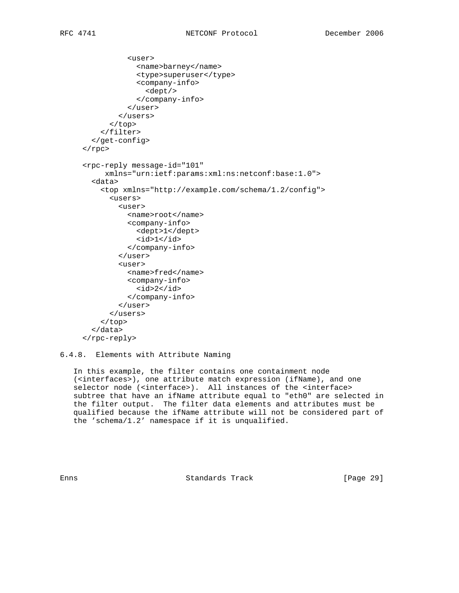```
 <user>
              <name>barney</name>
              <type>superuser</type>
             <company-info>
                <dept/>
              </company-info>
            </user>
         </users>
       </top>
     </filter>
   </get-config>
\langle rpc>
 <rpc-reply message-id="101"
      xmlns="urn:ietf:params:xml:ns:netconf:base:1.0">
   <data>
     <top xmlns="http://example.com/schema/1.2/config">
       <users>
         <user>
           <name>root</name>
           <company-info>
             <dept>1</dept>
             <id>1</id>
           </company-info>
         </user>
         <user>
           <name>fred</name>
           <company-info>
            <id>2</id>
           </company-info>
         </user>
       </users>
     </top>
   </data>
 </rpc-reply>
```

```
6.4.8. Elements with Attribute Naming
```
 In this example, the filter contains one containment node (<interfaces>), one attribute match expression (ifName), and one selector node (<interface>). All instances of the <interface> subtree that have an ifName attribute equal to "eth0" are selected in the filter output. The filter data elements and attributes must be qualified because the ifName attribute will not be considered part of the 'schema/1.2' namespace if it is unqualified.

Enns Standards Track [Page 29]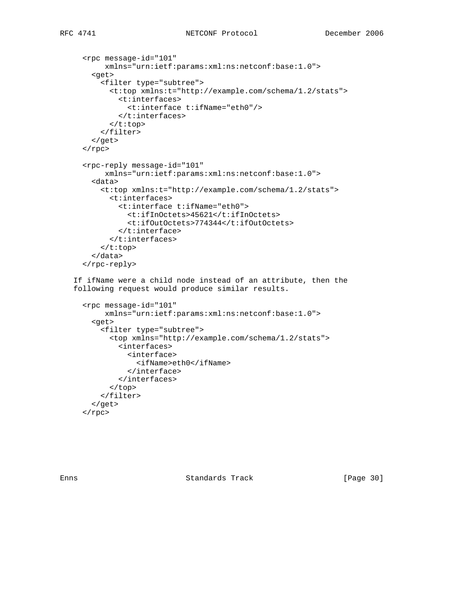```
 <rpc message-id="101"
        xmlns="urn:ietf:params:xml:ns:netconf:base:1.0">
     <get>
       <filter type="subtree">
          <t:top xmlns:t="http://example.com/schema/1.2/stats">
            <t:interfaces>
              <t:interface t:ifName="eth0"/>
           \langle t:interfaces \rangle\langle t:top \rangle </filter>
     </get>
  \langle /rpc>
   <rpc-reply message-id="101"
        xmlns="urn:ietf:params:xml:ns:netconf:base:1.0">
     <data>
       <t:top xmlns:t="http://example.com/schema/1.2/stats">
         <t:interfaces>
            <t:interface t:ifName="eth0">
              <t:ifInOctets>45621</t:ifInOctets>
              <t:ifOutOctets>774344</t:ifOutOctets>
           \langle t:interface \rangle </t:interfaces>
      \langle t:top \rangle </data>
   </rpc-reply>
 If ifName were a child node instead of an attribute, then the
```
following request would produce similar results.

```
 <rpc message-id="101"
      xmlns="urn:ietf:params:xml:ns:netconf:base:1.0">
   <get>
     <filter type="subtree">
       <top xmlns="http://example.com/schema/1.2/stats">
         <interfaces>
           <interface>
              <ifName>eth0</ifName>
           </interface>
         </interfaces>
       </top>
     </filter>
   </get>
\langle rpc>
```
Enns Standards Track [Page 30]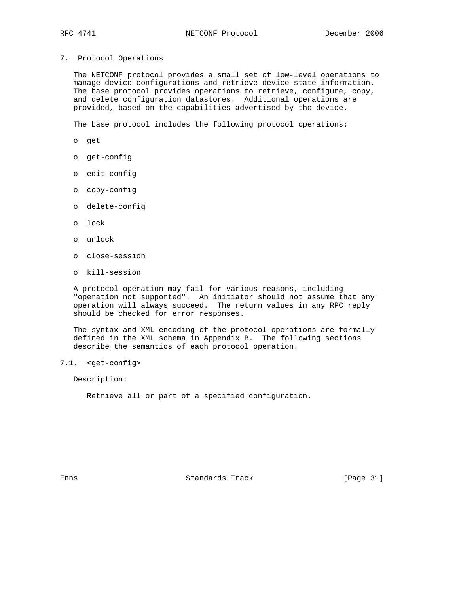7. Protocol Operations

 The NETCONF protocol provides a small set of low-level operations to manage device configurations and retrieve device state information. The base protocol provides operations to retrieve, configure, copy, and delete configuration datastores. Additional operations are provided, based on the capabilities advertised by the device.

The base protocol includes the following protocol operations:

- o get
- o get-config
- o edit-config
- o copy-config
- o delete-config
- o lock
- o unlock
- o close-session
- o kill-session

 A protocol operation may fail for various reasons, including "operation not supported". An initiator should not assume that any operation will always succeed. The return values in any RPC reply should be checked for error responses.

 The syntax and XML encoding of the protocol operations are formally defined in the XML schema in Appendix B. The following sections describe the semantics of each protocol operation.

7.1. <get-config>

Description:

Retrieve all or part of a specified configuration.

Enns Standards Track [Page 31]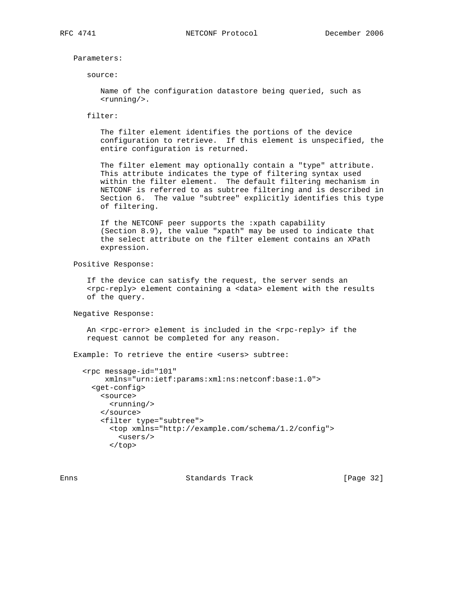Parameters:

source:

 Name of the configuration datastore being queried, such as <running/>.

filter:

 The filter element identifies the portions of the device configuration to retrieve. If this element is unspecified, the entire configuration is returned.

 The filter element may optionally contain a "type" attribute. This attribute indicates the type of filtering syntax used within the filter element. The default filtering mechanism in NETCONF is referred to as subtree filtering and is described in Section 6. The value "subtree" explicitly identifies this type of filtering.

 If the NETCONF peer supports the :xpath capability (Section 8.9), the value "xpath" may be used to indicate that the select attribute on the filter element contains an XPath expression.

Positive Response:

 If the device can satisfy the request, the server sends an <rpc-reply> element containing a <data> element with the results of the query.

Negative Response:

An <rpc-error> element is included in the <rpc-reply> if the request cannot be completed for any reason.

Example: To retrieve the entire <users> subtree:

```
 <rpc message-id="101"
     xmlns="urn:ietf:params:xml:ns:netconf:base:1.0">
   <get-config>
    <source>
       <running/>
     </source>
     <filter type="subtree">
       <top xmlns="http://example.com/schema/1.2/config">
         <users/>
       </top>
```
Enns Standards Track [Page 32]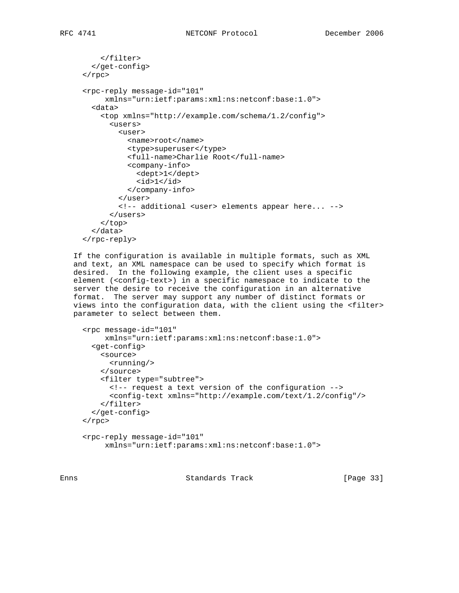```
 </filter>
   </get-config>
\langle rpc>
 <rpc-reply message-id="101"
      xmlns="urn:ietf:params:xml:ns:netconf:base:1.0">
   <data>
     <top xmlns="http://example.com/schema/1.2/config">
       <users>
         <user>
           <name>root</name>
           <type>superuser</type>
           <full-name>Charlie Root</full-name>
           <company-info>
             <dept>1</dept>
            <id>1</id>
           </company-info>
         </user>
         <!-- additional <user> elements appear here... -->
       </users>
     </top>
   </data>
 </rpc-reply>
```
 If the configuration is available in multiple formats, such as XML and text, an XML namespace can be used to specify which format is desired. In the following example, the client uses a specific element (<config-text>) in a specific namespace to indicate to the server the desire to receive the configuration in an alternative format. The server may support any number of distinct formats or views into the configuration data, with the client using the <filter> parameter to select between them.

```
 <rpc message-id="101"
     xmlns="urn:ietf:params:xml:ns:netconf:base:1.0">
   <get-config>
     <source>
       <running/>
     </source>
     <filter type="subtree">
       <!-- request a text version of the configuration -->
       <config-text xmlns="http://example.com/text/1.2/config"/>
     </filter>
   </get-config>
\langle rpc>
 <rpc-reply message-id="101"
      xmlns="urn:ietf:params:xml:ns:netconf:base:1.0">
```
Enns Standards Track [Page 33]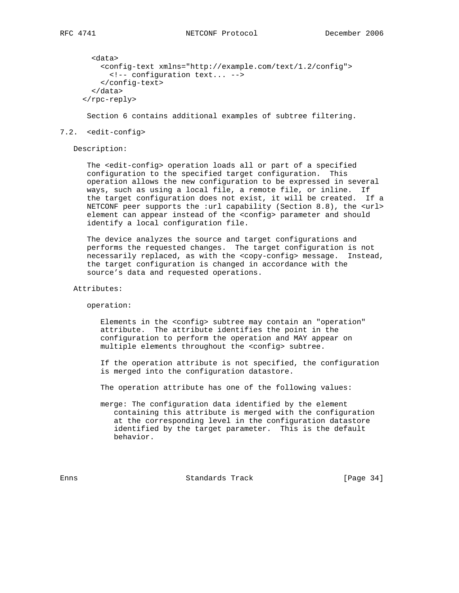```
 <data>
     <config-text xmlns="http://example.com/text/1.2/config">
       <!-- configuration text... -->
     </config-text>
   </data>
 </rpc-reply>
```
Section 6 contains additional examples of subtree filtering.

### 7.2. <edit-config>

### Description:

 The <edit-config> operation loads all or part of a specified configuration to the specified target configuration. This operation allows the new configuration to be expressed in several ways, such as using a local file, a remote file, or inline. If the target configuration does not exist, it will be created. If a NETCONF peer supports the :url capability (Section 8.8), the <url> element can appear instead of the <config> parameter and should identify a local configuration file.

 The device analyzes the source and target configurations and performs the requested changes. The target configuration is not necessarily replaced, as with the <copy-config> message. Instead, the target configuration is changed in accordance with the source's data and requested operations.

Attributes:

operation:

 Elements in the <config> subtree may contain an "operation" attribute. The attribute identifies the point in the configuration to perform the operation and MAY appear on multiple elements throughout the <config> subtree.

 If the operation attribute is not specified, the configuration is merged into the configuration datastore.

The operation attribute has one of the following values:

 merge: The configuration data identified by the element containing this attribute is merged with the configuration at the corresponding level in the configuration datastore identified by the target parameter. This is the default behavior.

Enns Standards Track [Page 34]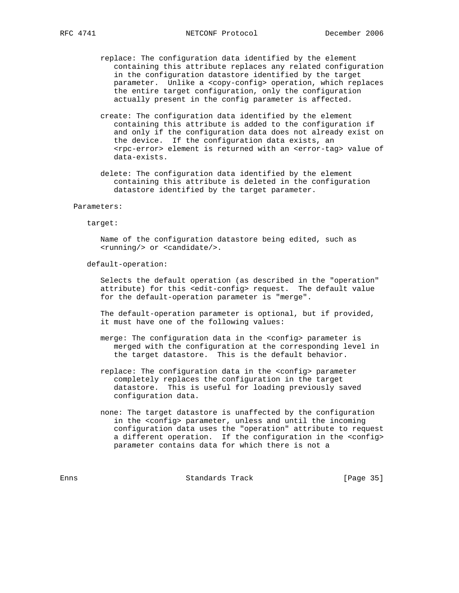- replace: The configuration data identified by the element containing this attribute replaces any related configuration in the configuration datastore identified by the target parameter. Unlike a <copy-config> operation, which replaces the entire target configuration, only the configuration actually present in the config parameter is affected.
- create: The configuration data identified by the element containing this attribute is added to the configuration if and only if the configuration data does not already exist on the device. If the configuration data exists, an <rpc-error> element is returned with an <error-tag> value of data-exists.
- delete: The configuration data identified by the element containing this attribute is deleted in the configuration datastore identified by the target parameter.

#### Parameters:

target:

 Name of the configuration datastore being edited, such as <running/> or <candidate/>.

default-operation:

 Selects the default operation (as described in the "operation" attribute) for this <edit-config> request. The default value for the default-operation parameter is "merge".

 The default-operation parameter is optional, but if provided, it must have one of the following values:

- merge: The configuration data in the <config> parameter is merged with the configuration at the corresponding level in the target datastore. This is the default behavior.
- replace: The configuration data in the <config> parameter completely replaces the configuration in the target datastore. This is useful for loading previously saved configuration data.
- none: The target datastore is unaffected by the configuration in the <config> parameter, unless and until the incoming configuration data uses the "operation" attribute to request a different operation. If the configuration in the <config> parameter contains data for which there is not a

Enns Standards Track [Page 35]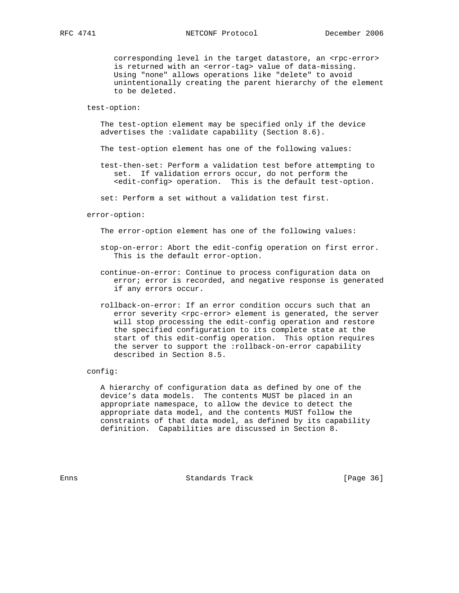RFC 4741 NETCONF Protocol December 2006

corresponding level in the target datastore, an <rpc-error> is returned with an <error-tag> value of data-missing. Using "none" allows operations like "delete" to avoid unintentionally creating the parent hierarchy of the element to be deleted.

test-option:

 The test-option element may be specified only if the device advertises the :validate capability (Section 8.6).

The test-option element has one of the following values:

 test-then-set: Perform a validation test before attempting to set. If validation errors occur, do not perform the <edit-config> operation. This is the default test-option.

set: Perform a set without a validation test first.

error-option:

The error-option element has one of the following values:

- stop-on-error: Abort the edit-config operation on first error. This is the default error-option.
- continue-on-error: Continue to process configuration data on error; error is recorded, and negative response is generated if any errors occur.
- rollback-on-error: If an error condition occurs such that an error severity <rpc-error> element is generated, the server will stop processing the edit-config operation and restore the specified configuration to its complete state at the start of this edit-config operation. This option requires the server to support the :rollback-on-error capability described in Section 8.5.

config:

 A hierarchy of configuration data as defined by one of the device's data models. The contents MUST be placed in an appropriate namespace, to allow the device to detect the appropriate data model, and the contents MUST follow the constraints of that data model, as defined by its capability definition. Capabilities are discussed in Section 8.

Enns Standards Track [Page 36]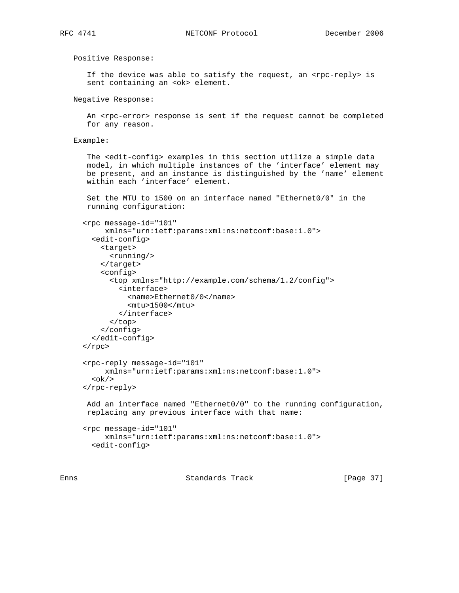Positive Response:

If the device was able to satisfy the request, an <rpc-reply> is sent containing an <ok> element.

Negative Response:

An <rpc-error> response is sent if the request cannot be completed for any reason.

Example:

 The <edit-config> examples in this section utilize a simple data model, in which multiple instances of the 'interface' element may be present, and an instance is distinguished by the 'name' element within each 'interface' element.

 Set the MTU to 1500 on an interface named "Ethernet0/0" in the running configuration:

```
 <rpc message-id="101"
     xmlns="urn:ietf:params:xml:ns:netconf:base:1.0">
   <edit-config>
    <target>
       <running/>
     </target>
     <config>
       <top xmlns="http://example.com/schema/1.2/config">
         <interface>
           <name>Ethernet0/0</name>
           <mtu>1500</mtu>
         </interface>
       </top>
     </config>
   </edit-config>
\langle rpc>
 <rpc-reply message-id="101"
     xmlns="urn:ietf:params:xml:ns:netconf:base:1.0">

 </rpc-reply>
Add an interface named "Ethernet0/0" to the running configuration,
 replacing any previous interface with that name:
 <rpc message-id="101"
     xmlns="urn:ietf:params:xml:ns:netconf:base:1.0">
   <edit-config>
```
Enns Standards Track [Page 37]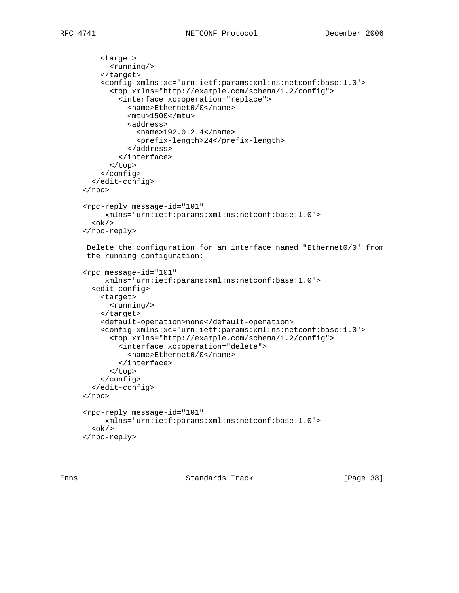```
 <target>
       <running/>
     </target>
     <config xmlns:xc="urn:ietf:params:xml:ns:netconf:base:1.0">
       <top xmlns="http://example.com/schema/1.2/config">
         <interface xc:operation="replace">
           <name>Ethernet0/0</name>
           <mtu>1500</mtu>
           <address>
             <name>192.0.2.4</name>
             <prefix-length>24</prefix-length>
           </address>
         </interface>
       </top>
     </config>
   </edit-config>
\langle rpc>
 <rpc-reply message-id="101"
      xmlns="urn:ietf:params:xml:ns:netconf:base:1.0">

 </rpc-reply>
 Delete the configuration for an interface named "Ethernet0/0" from
 the running configuration:
 <rpc message-id="101"
      xmlns="urn:ietf:params:xml:ns:netconf:base:1.0">
   <edit-config>
     <target>
       <running/>
     </target>
     <default-operation>none</default-operation>
     <config xmlns:xc="urn:ietf:params:xml:ns:netconf:base:1.0">
       <top xmlns="http://example.com/schema/1.2/config">
         <interface xc:operation="delete">
           <name>Ethernet0/0</name>
         </interface>
       </top>
     </config>
   </edit-config>
\langle / rpc <rpc-reply message-id="101"
      xmlns="urn:ietf:params:xml:ns:netconf:base:1.0">

 </rpc-reply>
```
Enns Standards Track [Page 38]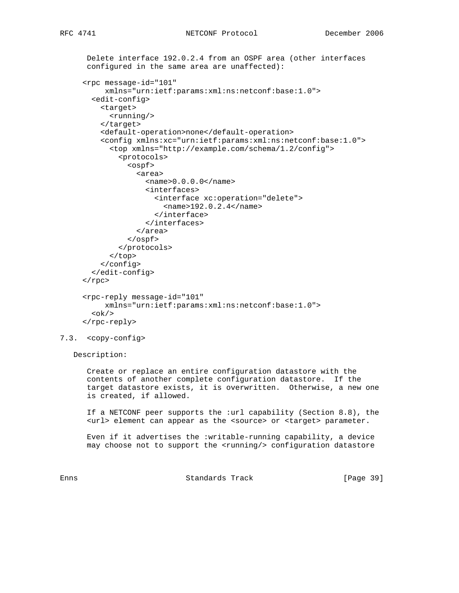```
 Delete interface 192.0.2.4 from an OSPF area (other interfaces
 configured in the same area are unaffected):
 <rpc message-id="101"
      xmlns="urn:ietf:params:xml:ns:netconf:base:1.0">
   <edit-config>
     <target>
       <running/>
     </target>
     <default-operation>none</default-operation>
     <config xmlns:xc="urn:ietf:params:xml:ns:netconf:base:1.0">
       <top xmlns="http://example.com/schema/1.2/config">
         <protocols>
           <ospf>
             <area>
               <name>0.0.0.0</name>
               <interfaces>
                 <interface xc:operation="delete">
                   <name>192.0.2.4</name>
                 </interface>
               </interfaces>
             </area>
           </ospf>
         </protocols>
       </top>
     </config>
   </edit-config>
\langle rpc>
 <rpc-reply message-id="101"
     xmlns="urn:ietf:params:xml:ns:netconf:base:1.0">

 </rpc-reply>
```
## 7.3. <copy-config>

Description:

 Create or replace an entire configuration datastore with the contents of another complete configuration datastore. If the target datastore exists, it is overwritten. Otherwise, a new one is created, if allowed.

 If a NETCONF peer supports the :url capability (Section 8.8), the <url> element can appear as the <source> or <target> parameter.

 Even if it advertises the :writable-running capability, a device may choose not to support the <running/> configuration datastore

Enns Standards Track [Page 39]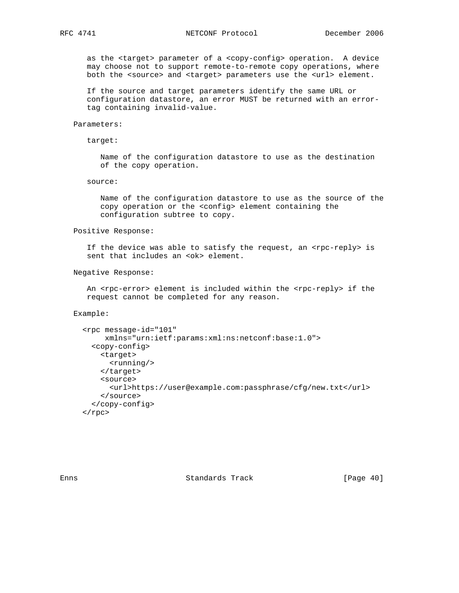as the <target> parameter of a <copy-config> operation. A device may choose not to support remote-to-remote copy operations, where both the <source> and <target> parameters use the <url> element.

 If the source and target parameters identify the same URL or configuration datastore, an error MUST be returned with an error tag containing invalid-value.

Parameters:

target:

 Name of the configuration datastore to use as the destination of the copy operation.

source:

 Name of the configuration datastore to use as the source of the copy operation or the <config> element containing the configuration subtree to copy.

Positive Response:

If the device was able to satisfy the request, an <rpc-reply> is sent that includes an <ok> element.

Negative Response:

An <rpc-error> element is included within the <rpc-reply> if the request cannot be completed for any reason.

Example:

```
 <rpc message-id="101"
     xmlns="urn:ietf:params:xml:ns:netconf:base:1.0">
   <copy-config>
     <target>
       <running/>
     </target>
     <source>
       <url>https://user@example.com:passphrase/cfg/new.txt</url>
     </source>
   </copy-config>
\langle rpc>
```
Enns Standards Track [Page 40]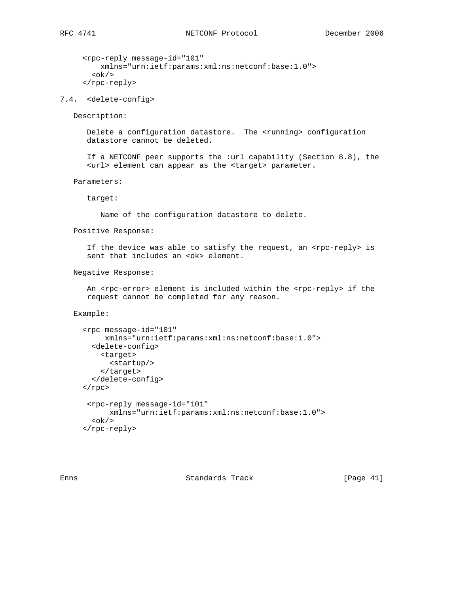```
 <rpc-reply message-id="101"
    xmlns="urn:ietf:params:xml:ns:netconf:base:1.0">

 </rpc-reply>
```
7.4. <delete-config>

Description:

Delete a configuration datastore. The <running> configuration datastore cannot be deleted.

 If a NETCONF peer supports the :url capability (Section 8.8), the <url> element can appear as the <target> parameter.

Parameters:

target:

Name of the configuration datastore to delete.

Positive Response:

If the device was able to satisfy the request, an <rpc-reply> is sent that includes an <ok> element.

Negative Response:

An <rpc-error> element is included within the <rpc-reply> if the request cannot be completed for any reason.

Example:

```
 <rpc message-id="101"
     xmlns="urn:ietf:params:xml:ns:netconf:base:1.0">
   <delete-config>
    <target>
       <startup/>
     </target>
   </delete-config>
\langle rpc>
  <rpc-reply message-id="101"
      xmlns="urn:ietf:params:xml:ns:netconf:base:1.0">

 </rpc-reply>
```
Enns Standards Track [Page 41]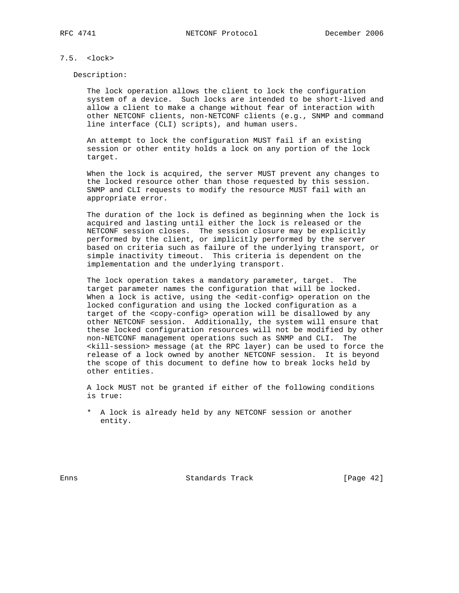# 7.5. <lock>

### Description:

 The lock operation allows the client to lock the configuration system of a device. Such locks are intended to be short-lived and allow a client to make a change without fear of interaction with other NETCONF clients, non-NETCONF clients (e.g., SNMP and command line interface (CLI) scripts), and human users.

 An attempt to lock the configuration MUST fail if an existing session or other entity holds a lock on any portion of the lock target.

 When the lock is acquired, the server MUST prevent any changes to the locked resource other than those requested by this session. SNMP and CLI requests to modify the resource MUST fail with an appropriate error.

 The duration of the lock is defined as beginning when the lock is acquired and lasting until either the lock is released or the NETCONF session closes. The session closure may be explicitly performed by the client, or implicitly performed by the server based on criteria such as failure of the underlying transport, or simple inactivity timeout. This criteria is dependent on the implementation and the underlying transport.

 The lock operation takes a mandatory parameter, target. The target parameter names the configuration that will be locked. When a lock is active, using the <edit-config> operation on the locked configuration and using the locked configuration as a target of the <copy-config> operation will be disallowed by any other NETCONF session. Additionally, the system will ensure that these locked configuration resources will not be modified by other non-NETCONF management operations such as SNMP and CLI. The <kill-session> message (at the RPC layer) can be used to force the release of a lock owned by another NETCONF session. It is beyond the scope of this document to define how to break locks held by other entities.

 A lock MUST not be granted if either of the following conditions is true:

 \* A lock is already held by any NETCONF session or another entity.

Enns Standards Track [Page 42]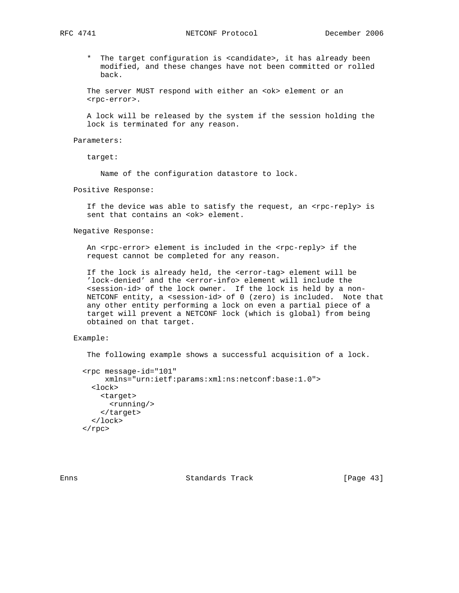RFC 4741 NETCONF Protocol December 2006

 \* The target configuration is <candidate>, it has already been modified, and these changes have not been committed or rolled back.

The server MUST respond with either an <ok> element or an <rpc-error>.

 A lock will be released by the system if the session holding the lock is terminated for any reason.

Parameters:

target:

Name of the configuration datastore to lock.

Positive Response:

If the device was able to satisfy the request, an <rpc-reply> is sent that contains an <ok> element.

Negative Response:

An <rpc-error> element is included in the <rpc-reply> if the request cannot be completed for any reason.

 If the lock is already held, the <error-tag> element will be 'lock-denied' and the <error-info> element will include the <session-id> of the lock owner. If the lock is held by a non- NETCONF entity, a <session-id> of 0 (zero) is included. Note that any other entity performing a lock on even a partial piece of a target will prevent a NETCONF lock (which is global) from being obtained on that target.

Example:

The following example shows a successful acquisition of a lock.

```
 <rpc message-id="101"
      xmlns="urn:ietf:params:xml:ns:netconf:base:1.0">
  <lock>
    <target>
       <running/>
     </target>
   </lock>
\langle rpc>
```
Enns Standards Track [Page 43]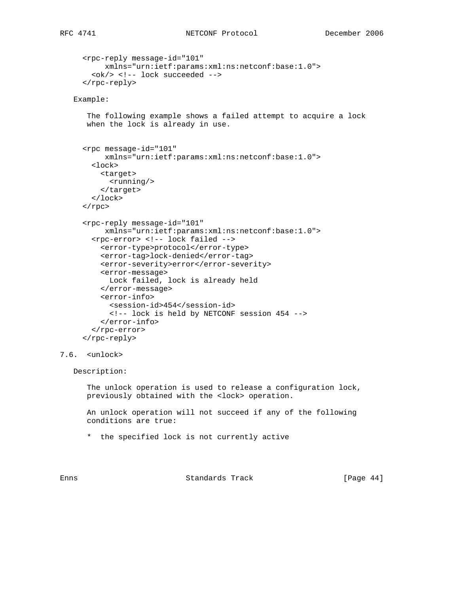```
 <rpc-reply message-id="101"
        xmlns="urn:ietf:params:xml:ns:netconf:base:1.0">
     <ok/> <!-- lock succeeded -->
   </rpc-reply>
 Example:
    The following example shows a failed attempt to acquire a lock
    when the lock is already in use.
```

```
 <rpc message-id="101"
     xmlns="urn:ietf:params:xml:ns:netconf:base:1.0">
   <lock>
     <target>
      <running/>
    </target>
   </lock>
\langle rpc>
 <rpc-reply message-id="101"
      xmlns="urn:ietf:params:xml:ns:netconf:base:1.0">
   <rpc-error> <!-- lock failed -->
    <error-type>protocol</error-type>
     <error-tag>lock-denied</error-tag>
     <error-severity>error</error-severity>
     <error-message>
       Lock failed, lock is already held
     </error-message>
     <error-info>
       <session-id>454</session-id>
       <!-- lock is held by NETCONF session 454 -->
     </error-info>
   </rpc-error>
```

```
 </rpc-reply>
```

```
7.6. <unlock>
```
Description:

 The unlock operation is used to release a configuration lock, previously obtained with the <lock> operation.

 An unlock operation will not succeed if any of the following conditions are true:

\* the specified lock is not currently active

Enns Standards Track [Page 44]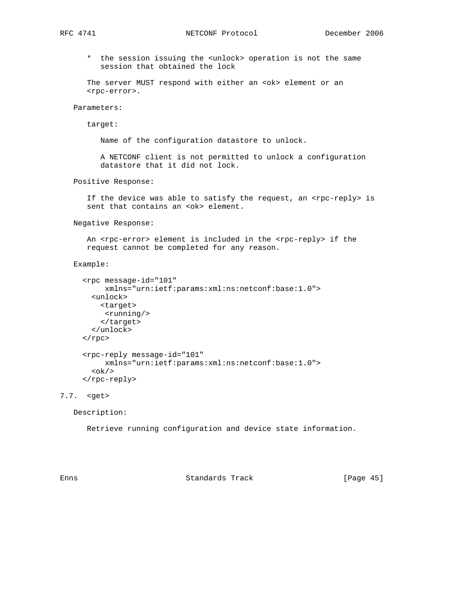\* the session issuing the <unlock> operation is not the same session that obtained the lock

The server MUST respond with either an <ok> element or an <rpc-error>.

Parameters:

target:

Name of the configuration datastore to unlock.

 A NETCONF client is not permitted to unlock a configuration datastore that it did not lock.

Positive Response:

If the device was able to satisfy the request, an <rpc-reply> is sent that contains an <ok> element.

Negative Response:

An <rpc-error> element is included in the <rpc-reply> if the request cannot be completed for any reason.

Example:

```
 <rpc message-id="101"
     xmlns="urn:ietf:params:xml:ns:netconf:base:1.0">
   <unlock>
    <target>
     <running/>
     </target>
   </unlock>
\langle rpc>
 <rpc-reply message-id="101"
     xmlns="urn:ietf:params:xml:ns:netconf:base:1.0">

 </rpc-reply>
```
7.7. <get>

Description:

Retrieve running configuration and device state information.

Enns Standards Track [Page 45]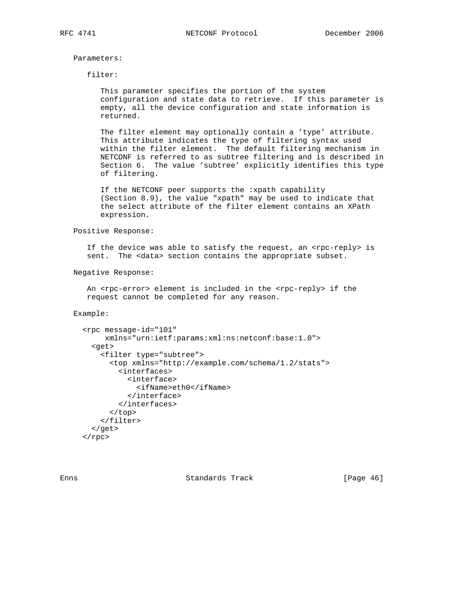Parameters:

filter:

 This parameter specifies the portion of the system configuration and state data to retrieve. If this parameter is empty, all the device configuration and state information is returned.

 The filter element may optionally contain a 'type' attribute. This attribute indicates the type of filtering syntax used within the filter element. The default filtering mechanism in NETCONF is referred to as subtree filtering and is described in Section 6. The value 'subtree' explicitly identifies this type of filtering.

 If the NETCONF peer supports the :xpath capability (Section 8.9), the value "xpath" may be used to indicate that the select attribute of the filter element contains an XPath expression.

Positive Response:

If the device was able to satisfy the request, an <rpc-reply> is sent. The <data> section contains the appropriate subset.

Negative Response:

An <rpc-error> element is included in the <rpc-reply> if the request cannot be completed for any reason.

Example:

```
 <rpc message-id="101"
     xmlns="urn:ietf:params:xml:ns:netconf:base:1.0">
   <get>
     <filter type="subtree">
       <top xmlns="http://example.com/schema/1.2/stats">
         <interfaces>
           <interface>
             <ifName>eth0</ifName>
           </interface>
         </interfaces>
       </top>
     </filter>
   </get>
 </rpc>
```
Enns Standards Track [Page 46]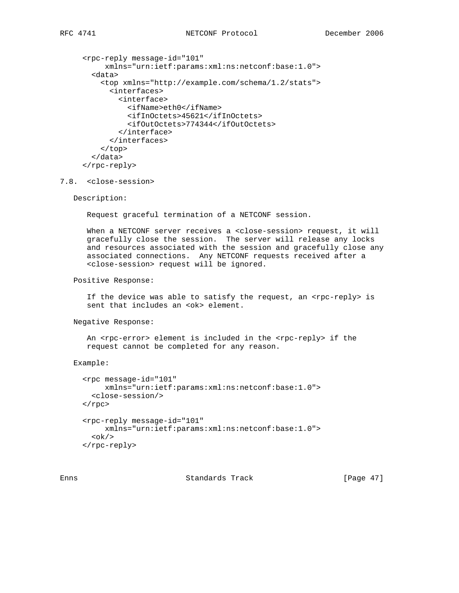```
 <rpc-reply message-id="101"
      xmlns="urn:ietf:params:xml:ns:netconf:base:1.0">
   <data>
     <top xmlns="http://example.com/schema/1.2/stats">
       <interfaces>
         <interface>
           <ifName>eth0</ifName>
           <ifInOctets>45621</ifInOctets>
           <ifOutOctets>774344</ifOutOctets>
         </interface>
       </interfaces>
     </top>
   </data>
 </rpc-reply>
```
### 7.8. <close-session>

Description:

Request graceful termination of a NETCONF session.

 When a NETCONF server receives a <close-session> request, it will gracefully close the session. The server will release any locks and resources associated with the session and gracefully close any associated connections. Any NETCONF requests received after a <close-session> request will be ignored.

Positive Response:

If the device was able to satisfy the request, an <rpc-reply> is sent that includes an <ok> element.

Negative Response:

An <rpc-error> element is included in the <rpc-reply> if the request cannot be completed for any reason.

```
 Example:
```

```
 <rpc message-id="101"
     xmlns="urn:ietf:params:xml:ns:netconf:base:1.0">
  <close-session/>
\langle rpc>
 <rpc-reply message-id="101"
      xmlns="urn:ietf:params:xml:ns:netconf:base:1.0">

 </rpc-reply>
```
Enns Standards Track [Page 47]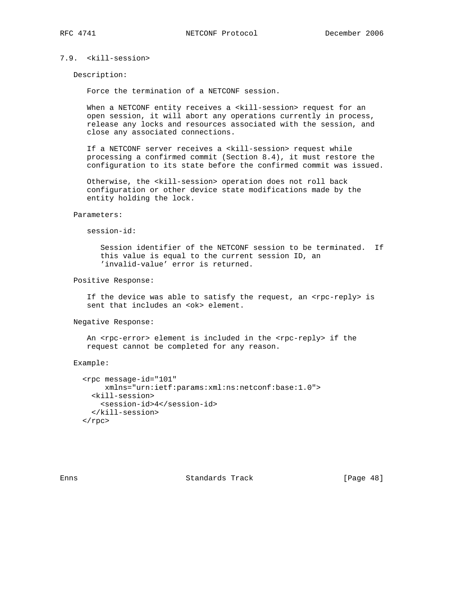## 7.9. <kill-session>

Description:

Force the termination of a NETCONF session.

When a NETCONF entity receives a <kill-session> request for an open session, it will abort any operations currently in process, release any locks and resources associated with the session, and close any associated connections.

 If a NETCONF server receives a <kill-session> request while processing a confirmed commit (Section 8.4), it must restore the configuration to its state before the confirmed commit was issued.

 Otherwise, the <kill-session> operation does not roll back configuration or other device state modifications made by the entity holding the lock.

#### Parameters:

session-id:

 Session identifier of the NETCONF session to be terminated. If this value is equal to the current session ID, an 'invalid-value' error is returned.

Positive Response:

If the device was able to satisfy the request, an <rpc-reply> is sent that includes an <ok> element.

Negative Response:

An <rpc-error> element is included in the <rpc-reply> if the request cannot be completed for any reason.

Example:

```
 <rpc message-id="101"
      xmlns="urn:ietf:params:xml:ns:netconf:base:1.0">
   <kill-session>
     <session-id>4</session-id>
  </kill-session>
\langle rpc>
```
Enns Standards Track [Page 48]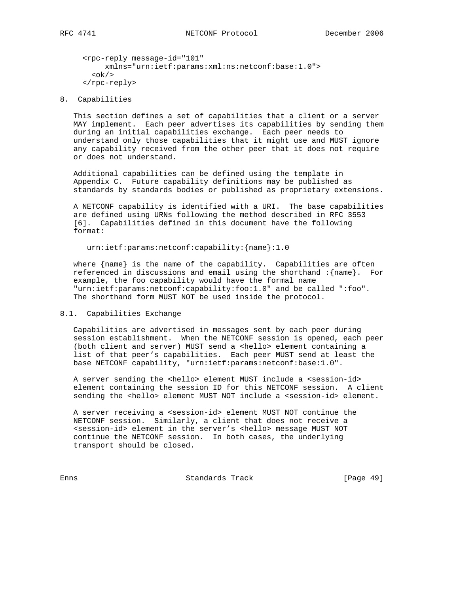```
 <rpc-reply message-id="101"
     xmlns="urn:ietf:params:xml:ns:netconf:base:1.0">

 </rpc-reply>
```
8. Capabilities

 This section defines a set of capabilities that a client or a server MAY implement. Each peer advertises its capabilities by sending them during an initial capabilities exchange. Each peer needs to understand only those capabilities that it might use and MUST ignore any capability received from the other peer that it does not require or does not understand.

 Additional capabilities can be defined using the template in Appendix C. Future capability definitions may be published as standards by standards bodies or published as proprietary extensions.

 A NETCONF capability is identified with a URI. The base capabilities are defined using URNs following the method described in RFC 3553 [6]. Capabilities defined in this document have the following format:

urn:ietf:params:netconf:capability:{name}:1.0

 where {name} is the name of the capability. Capabilities are often referenced in discussions and email using the shorthand :{name}. For example, the foo capability would have the formal name "urn:ietf:params:netconf:capability:foo:1.0" and be called ":foo". The shorthand form MUST NOT be used inside the protocol.

### 8.1. Capabilities Exchange

 Capabilities are advertised in messages sent by each peer during session establishment. When the NETCONF session is opened, each peer (both client and server) MUST send a <hello> element containing a list of that peer's capabilities. Each peer MUST send at least the base NETCONF capability, "urn:ietf:params:netconf:base:1.0".

A server sending the <hello> element MUST include a <session-id> element containing the session ID for this NETCONF session. A client sending the <hello> element MUST NOT include a <session-id> element.

 A server receiving a <session-id> element MUST NOT continue the NETCONF session. Similarly, a client that does not receive a <session-id> element in the server's <hello> message MUST NOT continue the NETCONF session. In both cases, the underlying transport should be closed.

Enns Standards Track [Page 49]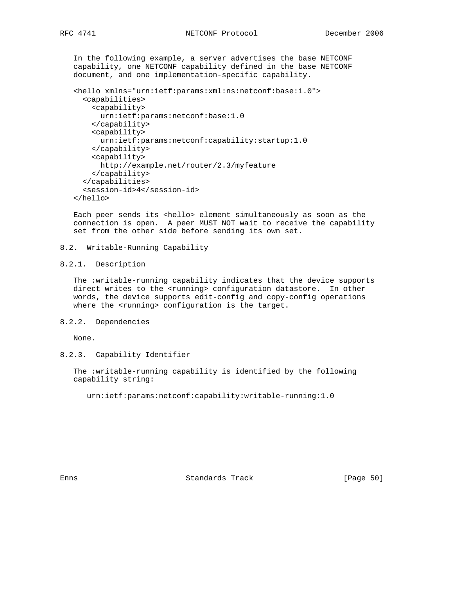In the following example, a server advertises the base NETCONF capability, one NETCONF capability defined in the base NETCONF document, and one implementation-specific capability. <hello xmlns="urn:ietf:params:xml:ns:netconf:base:1.0"> <capabilities> <capability> urn:ietf:params:netconf:base:1.0 </capability> <capability> urn:ietf:params:netconf:capability:startup:1.0 </capability> <capability> http://example.net/router/2.3/myfeature </capability> </capabilities> <session-id>4</session-id> </hello>

Each peer sends its <hello> element simultaneously as soon as the connection is open. A peer MUST NOT wait to receive the capability set from the other side before sending its own set.

- 8.2. Writable-Running Capability
- 8.2.1. Description

 The :writable-running capability indicates that the device supports direct writes to the <running> configuration datastore. In other words, the device supports edit-config and copy-config operations where the <running> configuration is the target.

8.2.2. Dependencies

None.

8.2.3. Capability Identifier

 The :writable-running capability is identified by the following capability string:

urn:ietf:params:netconf:capability:writable-running:1.0

Enns Standards Track [Page 50]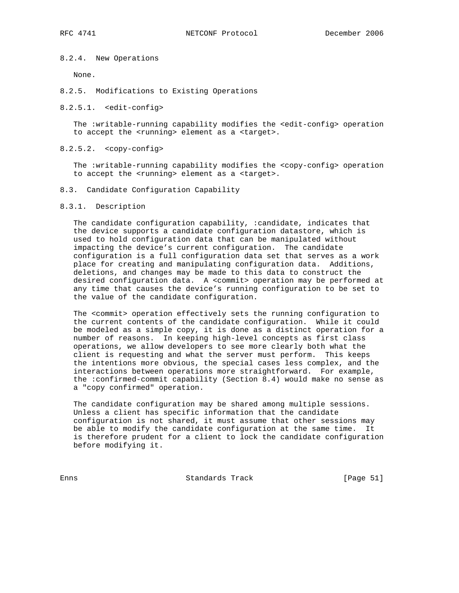8.2.4. New Operations

None.

- 8.2.5. Modifications to Existing Operations
- 8.2.5.1. <edit-config>

The :writable-running capability modifies the <edit-config> operation to accept the <running> element as a <target>.

8.2.5.2. <copy-config>

 The :writable-running capability modifies the <copy-config> operation to accept the <running> element as a <target>.

8.3. Candidate Configuration Capability

8.3.1. Description

 The candidate configuration capability, :candidate, indicates that the device supports a candidate configuration datastore, which is used to hold configuration data that can be manipulated without impacting the device's current configuration. The candidate configuration is a full configuration data set that serves as a work place for creating and manipulating configuration data. Additions, deletions, and changes may be made to this data to construct the desired configuration data. A <commit> operation may be performed at any time that causes the device's running configuration to be set to the value of the candidate configuration.

 The <commit> operation effectively sets the running configuration to the current contents of the candidate configuration. While it could be modeled as a simple copy, it is done as a distinct operation for a number of reasons. In keeping high-level concepts as first class operations, we allow developers to see more clearly both what the client is requesting and what the server must perform. This keeps the intentions more obvious, the special cases less complex, and the interactions between operations more straightforward. For example, the :confirmed-commit capability (Section 8.4) would make no sense as a "copy confirmed" operation.

 The candidate configuration may be shared among multiple sessions. Unless a client has specific information that the candidate configuration is not shared, it must assume that other sessions may be able to modify the candidate configuration at the same time. It is therefore prudent for a client to lock the candidate configuration before modifying it.

Enns Standards Track [Page 51]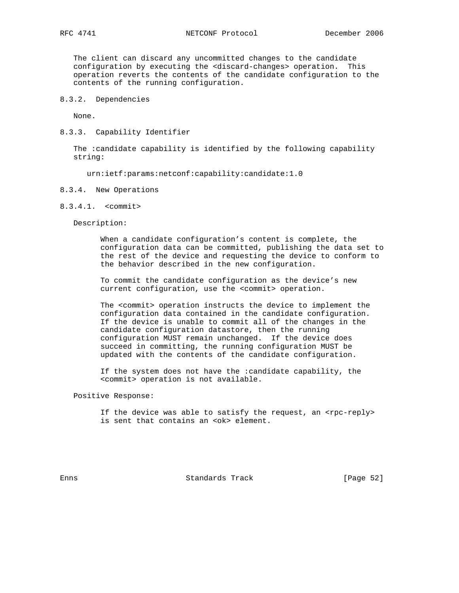The client can discard any uncommitted changes to the candidate configuration by executing the <discard-changes> operation. This operation reverts the contents of the candidate configuration to the contents of the running configuration.

8.3.2. Dependencies

None.

8.3.3. Capability Identifier

 The :candidate capability is identified by the following capability string:

urn:ietf:params:netconf:capability:candidate:1.0

- 8.3.4. New Operations
- 8.3.4.1. <commit>

Description:

 When a candidate configuration's content is complete, the configuration data can be committed, publishing the data set to the rest of the device and requesting the device to conform to the behavior described in the new configuration.

 To commit the candidate configuration as the device's new current configuration, use the <commit> operation.

 The <commit> operation instructs the device to implement the configuration data contained in the candidate configuration. If the device is unable to commit all of the changes in the candidate configuration datastore, then the running configuration MUST remain unchanged. If the device does succeed in committing, the running configuration MUST be updated with the contents of the candidate configuration.

 If the system does not have the :candidate capability, the <commit> operation is not available.

Positive Response:

If the device was able to satisfy the request, an <rpc-reply> is sent that contains an <ok> element.

Enns Standards Track [Page 52]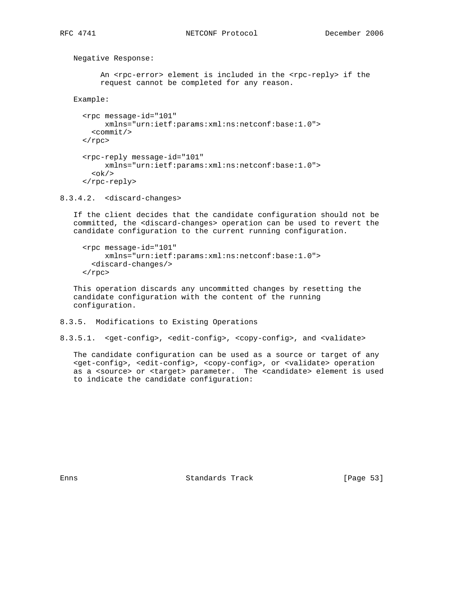Negative Response:

An <rpc-error> element is included in the <rpc-reply> if the request cannot be completed for any reason.

Example:

```
 <rpc message-id="101"
     xmlns="urn:ietf:params:xml:ns:netconf:base:1.0">
   <commit/>
\langle rpc>
 <rpc-reply message-id="101"
      xmlns="urn:ietf:params:xml:ns:netconf:base:1.0">

 </rpc-reply>
```
8.3.4.2. <discard-changes>

 If the client decides that the candidate configuration should not be committed, the <discard-changes> operation can be used to revert the candidate configuration to the current running configuration.

```
 <rpc message-id="101"
      xmlns="urn:ietf:params:xml:ns:netconf:base:1.0">
   <discard-changes/>
\langle / rpc
```
 This operation discards any uncommitted changes by resetting the candidate configuration with the content of the running configuration.

8.3.5. Modifications to Existing Operations

```
8.3.5.1. <get-config>, <edit-config>, <copy-config>, and <validate>
```
 The candidate configuration can be used as a source or target of any <get-config>, <edit-config>, <copy-config>, or <validate> operation as a <source> or <target> parameter. The <candidate> element is used to indicate the candidate configuration:

Enns Standards Track [Page 53]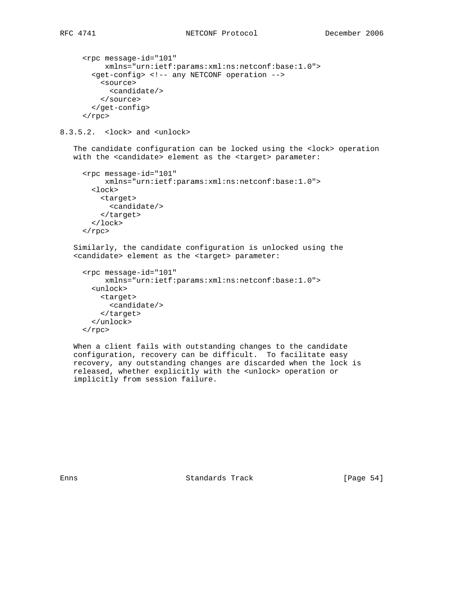```
 <rpc message-id="101"
      xmlns="urn:ietf:params:xml:ns:netconf:base:1.0">
   <get-config> <!-- any NETCONF operation -->
    <source>
       <candidate/>
     </source>
   </get-config>
\langle rpc>
```
8.3.5.2. <lock> and <unlock>

 The candidate configuration can be locked using the <lock> operation with the <candidate> element as the <target> parameter:

```
 <rpc message-id="101"
      xmlns="urn:ietf:params:xml:ns:netconf:base:1.0">
  <lock>
     <target>
       <candidate/>
     </target>
   </lock>
\langle rpc>
```
 Similarly, the candidate configuration is unlocked using the <candidate> element as the <target> parameter:

```
 <rpc message-id="101"
      xmlns="urn:ietf:params:xml:ns:netconf:base:1.0">
   <unlock>
     <target>
       <candidate/>
     </target>
   </unlock>
\langle rpc>
```
 When a client fails with outstanding changes to the candidate configuration, recovery can be difficult. To facilitate easy recovery, any outstanding changes are discarded when the lock is released, whether explicitly with the <unlock> operation or implicitly from session failure.

Enns Standards Track [Page 54]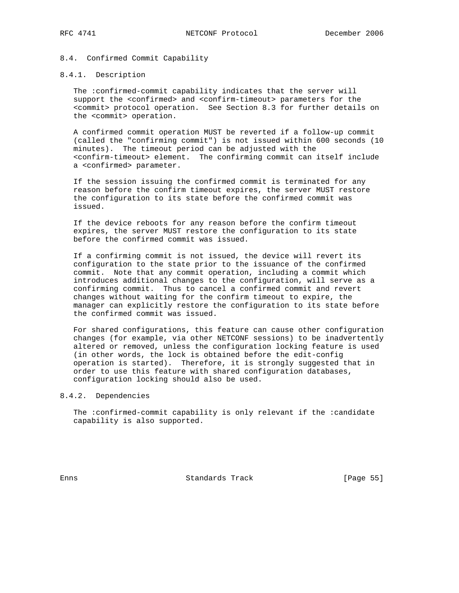## 8.4. Confirmed Commit Capability

# 8.4.1. Description

 The :confirmed-commit capability indicates that the server will support the <confirmed> and <confirm-timeout> parameters for the <commit> protocol operation. See Section 8.3 for further details on the <commit> operation.

 A confirmed commit operation MUST be reverted if a follow-up commit (called the "confirming commit") is not issued within 600 seconds (10 minutes). The timeout period can be adjusted with the <confirm-timeout> element. The confirming commit can itself include a <confirmed> parameter.

 If the session issuing the confirmed commit is terminated for any reason before the confirm timeout expires, the server MUST restore the configuration to its state before the confirmed commit was issued.

 If the device reboots for any reason before the confirm timeout expires, the server MUST restore the configuration to its state before the confirmed commit was issued.

 If a confirming commit is not issued, the device will revert its configuration to the state prior to the issuance of the confirmed commit. Note that any commit operation, including a commit which introduces additional changes to the configuration, will serve as a confirming commit. Thus to cancel a confirmed commit and revert changes without waiting for the confirm timeout to expire, the manager can explicitly restore the configuration to its state before the confirmed commit was issued.

 For shared configurations, this feature can cause other configuration changes (for example, via other NETCONF sessions) to be inadvertently altered or removed, unless the configuration locking feature is used (in other words, the lock is obtained before the edit-config operation is started). Therefore, it is strongly suggested that in order to use this feature with shared configuration databases, configuration locking should also be used.

## 8.4.2. Dependencies

 The :confirmed-commit capability is only relevant if the :candidate capability is also supported.

Enns Standards Track [Page 55]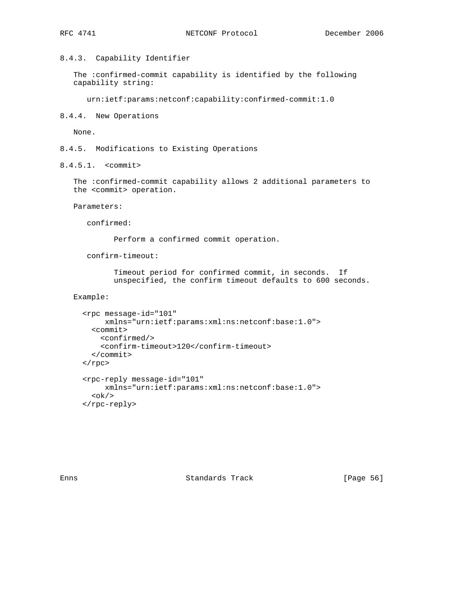8.4.3. Capability Identifier

 The :confirmed-commit capability is identified by the following capability string:

urn:ietf:params:netconf:capability:confirmed-commit:1.0

8.4.4. New Operations

None.

8.4.5. Modifications to Existing Operations

```
8.4.5.1. <commit>
```
 The :confirmed-commit capability allows 2 additional parameters to the <commit> operation.

Parameters:

confirmed:

Perform a confirmed commit operation.

confirm-timeout:

 Timeout period for confirmed commit, in seconds. If unspecified, the confirm timeout defaults to 600 seconds.

Example:

```
 <rpc message-id="101"
     xmlns="urn:ietf:params:xml:ns:netconf:base:1.0">
  <commit>
     <confirmed/>
     <confirm-timeout>120</confirm-timeout>
   </commit>
\langle rpc>
 <rpc-reply message-id="101"
      xmlns="urn:ietf:params:xml:ns:netconf:base:1.0">

 </rpc-reply>
```
Enns Standards Track [Page 56]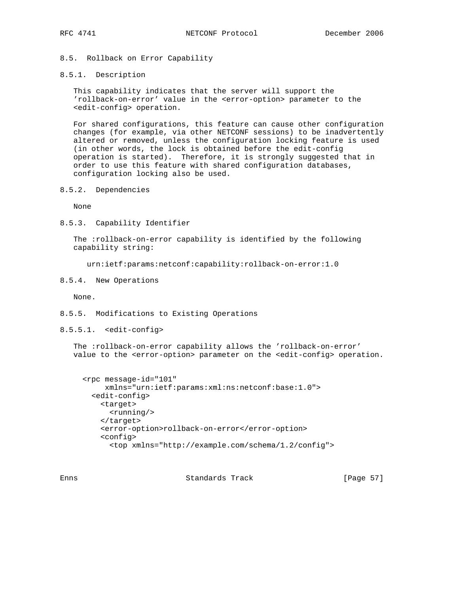## 8.5. Rollback on Error Capability

## 8.5.1. Description

 This capability indicates that the server will support the 'rollback-on-error' value in the <error-option> parameter to the <edit-config> operation.

 For shared configurations, this feature can cause other configuration changes (for example, via other NETCONF sessions) to be inadvertently altered or removed, unless the configuration locking feature is used (in other words, the lock is obtained before the edit-config operation is started). Therefore, it is strongly suggested that in order to use this feature with shared configuration databases, configuration locking also be used.

8.5.2. Dependencies

None

8.5.3. Capability Identifier

 The :rollback-on-error capability is identified by the following capability string:

urn:ietf:params:netconf:capability:rollback-on-error:1.0

8.5.4. New Operations

None.

- 8.5.5. Modifications to Existing Operations
- 8.5.5.1. <edit-config>

 The :rollback-on-error capability allows the 'rollback-on-error' value to the <error-option> parameter on the <edit-config> operation.

```
 <rpc message-id="101"
      xmlns="urn:ietf:params:xml:ns:netconf:base:1.0">
  <edit-config>
    <target>
       <running/>
     </target>
     <error-option>rollback-on-error</error-option>
     <config>
       <top xmlns="http://example.com/schema/1.2/config">
```
Enns Standards Track [Page 57]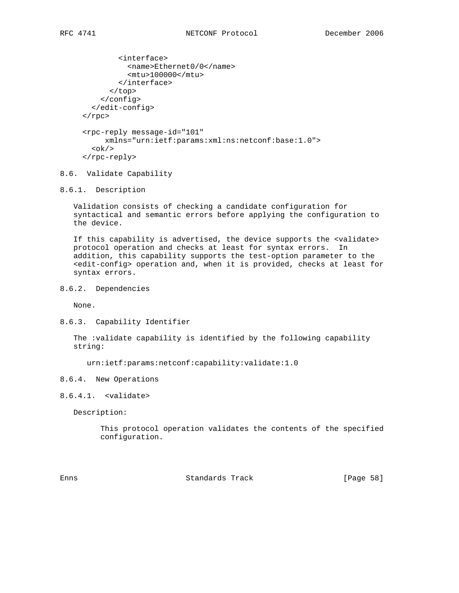```
 <interface>
             <name>Ethernet0/0</name>
             <mtu>100000</mtu>
          </interface>
        </top>
     </config>
   </edit-config>
\langle rpc>
 <rpc-reply message-id="101"
      xmlns="urn:ietf:params:xml:ns:netconf:base:1.0">
  \langle \text{ok}/\rangle </rpc-reply>
```
8.6. Validate Capability

```
8.6.1. Description
```
 Validation consists of checking a candidate configuration for syntactical and semantic errors before applying the configuration to the device.

 If this capability is advertised, the device supports the <validate> protocol operation and checks at least for syntax errors. In addition, this capability supports the test-option parameter to the <edit-config> operation and, when it is provided, checks at least for syntax errors.

```
8.6.2. Dependencies
```
None.

8.6.3. Capability Identifier

 The :validate capability is identified by the following capability string:

urn:ietf:params:netconf:capability:validate:1.0

- 8.6.4. New Operations
- 8.6.4.1. <validate>

Description:

 This protocol operation validates the contents of the specified configuration.

Enns Standards Track [Page 58]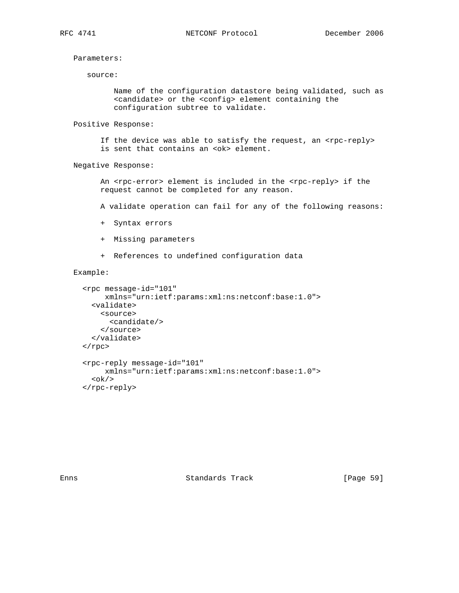Parameters:

source:

 Name of the configuration datastore being validated, such as <candidate> or the <config> element containing the configuration subtree to validate.

Positive Response:

If the device was able to satisfy the request, an <rpc-reply> is sent that contains an <ok> element.

Negative Response:

An <rpc-error> element is included in the <rpc-reply> if the request cannot be completed for any reason.

A validate operation can fail for any of the following reasons:

- + Syntax errors
- + Missing parameters
- + References to undefined configuration data

Example:

```
 <rpc message-id="101"
     xmlns="urn:ietf:params:xml:ns:netconf:base:1.0">
  <validate>
     <source>
       <candidate/>
     </source>
   </validate>
\langle rpc>
 <rpc-reply message-id="101"
     xmlns="urn:ietf:params:xml:ns:netconf:base:1.0">

 </rpc-reply>
```
Enns Standards Track [Page 59]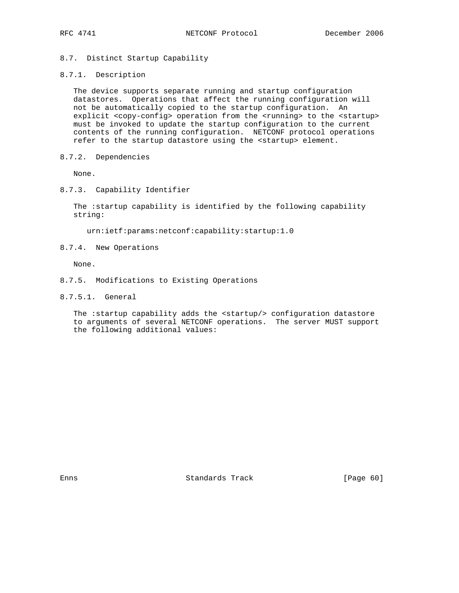- 8.7. Distinct Startup Capability
- 8.7.1. Description

 The device supports separate running and startup configuration datastores. Operations that affect the running configuration will not be automatically copied to the startup configuration. An explicit <copy-config> operation from the <running> to the <startup> must be invoked to update the startup configuration to the current contents of the running configuration. NETCONF protocol operations refer to the startup datastore using the <startup> element.

8.7.2. Dependencies

None.

8.7.3. Capability Identifier

 The :startup capability is identified by the following capability string:

urn:ietf:params:netconf:capability:startup:1.0

8.7.4. New Operations

None.

- 8.7.5. Modifications to Existing Operations
- 8.7.5.1. General

 The :startup capability adds the <startup/> configuration datastore to arguments of several NETCONF operations. The server MUST support the following additional values:

Enns Standards Track [Page 60]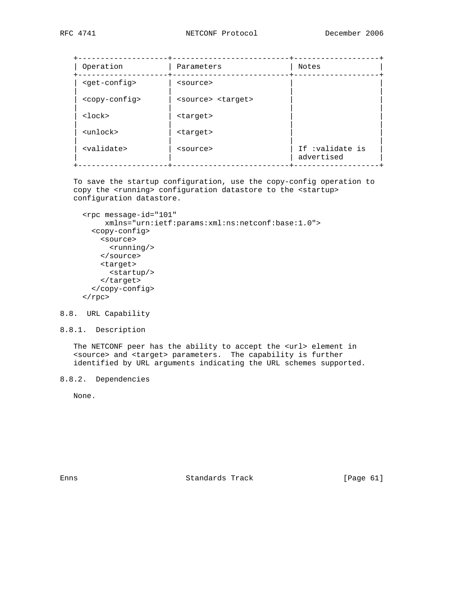| Parameters                  | Notes                         |
|-----------------------------|-------------------------------|
| <source/>                   |                               |
| <source/> <target></target> |                               |
| <target></target>           |                               |
| <target></target>           |                               |
| <source/>                   | If :validate is<br>advertised |
|                             |                               |

 To save the startup configuration, use the copy-config operation to copy the <running> configuration datastore to the <startup> configuration datastore.

```
 <rpc message-id="101"
      xmlns="urn:ietf:params:xml:ns:netconf:base:1.0">
   <copy-config>
    <source>
       <running/>
     </source>
     <target>
      <startup/>
     </target>
   </copy-config>
\langle rpc>
```
## 8.8. URL Capability

## 8.8.1. Description

The NETCONF peer has the ability to accept the <url> element in <source> and <target> parameters. The capability is further identified by URL arguments indicating the URL schemes supported.

# 8.8.2. Dependencies

None.

Enns Standards Track [Page 61]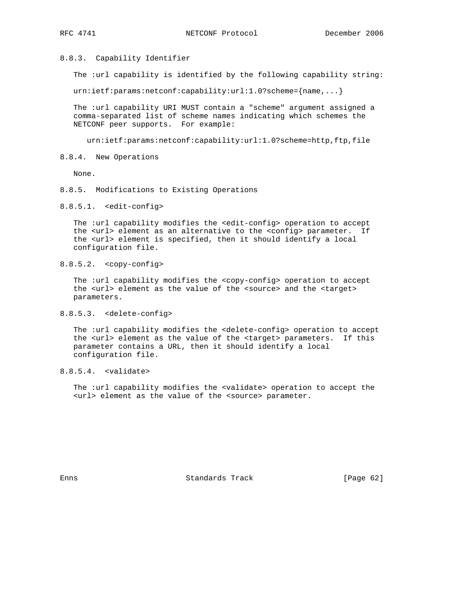8.8.3. Capability Identifier

The :url capability is identified by the following capability string:

urn:ietf:params:netconf:capability:url:1.0?scheme={name,...}

 The :url capability URI MUST contain a "scheme" argument assigned a comma-separated list of scheme names indicating which schemes the NETCONF peer supports. For example:

urn:ietf:params:netconf:capability:url:1.0?scheme=http,ftp,file

8.8.4. New Operations

None.

- 8.8.5. Modifications to Existing Operations
- 8.8.5.1. <edit-config>

The :url capability modifies the <edit-config> operation to accept the <url> element as an alternative to the <config> parameter. If the <url> element is specified, then it should identify a local configuration file.

8.8.5.2. <copy-config>

 The :url capability modifies the <copy-config> operation to accept the <url> element as the value of the <source> and the <target> parameters.

8.8.5.3. <delete-config>

 The :url capability modifies the <delete-config> operation to accept the <url> element as the value of the <target> parameters. If this parameter contains a URL, then it should identify a local configuration file.

8.8.5.4. <validate>

 The :url capability modifies the <validate> operation to accept the <url> element as the value of the <source> parameter.

Enns Standards Track [Page 62]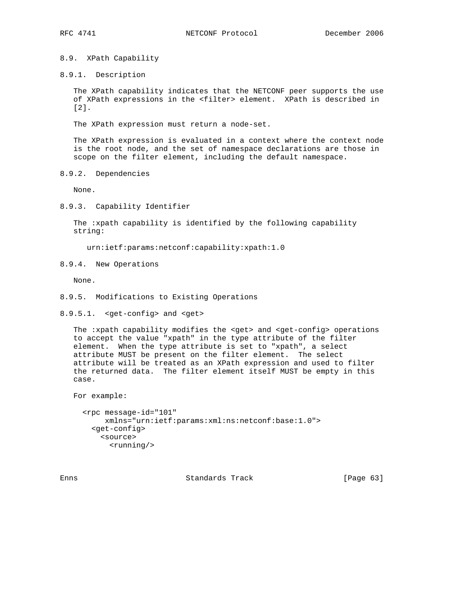8.9. XPath Capability

8.9.1. Description

 The XPath capability indicates that the NETCONF peer supports the use of XPath expressions in the <filter> element. XPath is described in [2].

The XPath expression must return a node-set.

 The XPath expression is evaluated in a context where the context node is the root node, and the set of namespace declarations are those in scope on the filter element, including the default namespace.

8.9.2. Dependencies

None.

8.9.3. Capability Identifier

 The :xpath capability is identified by the following capability string:

urn:ietf:params:netconf:capability:xpath:1.0

8.9.4. New Operations

None.

- 8.9.5. Modifications to Existing Operations
- 8.9.5.1. <get-config> and <get>

 The :xpath capability modifies the <get> and <get-config> operations to accept the value "xpath" in the type attribute of the filter element. When the type attribute is set to "xpath", a select attribute MUST be present on the filter element. The select attribute will be treated as an XPath expression and used to filter the returned data. The filter element itself MUST be empty in this case.

For example:

```
 <rpc message-id="101"
     xmlns="urn:ietf:params:xml:ns:netconf:base:1.0">
  <get-config>
    <source>
      <running/>
```
Enns Standards Track [Page 63]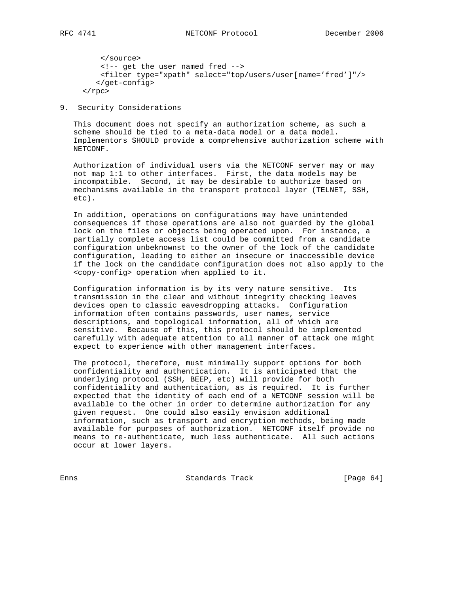</source> <!-- get the user named fred --> <filter type="xpath" select="top/users/user[name='fred']"/> </get-config>  $\langle$  rpc>

9. Security Considerations

 This document does not specify an authorization scheme, as such a scheme should be tied to a meta-data model or a data model. Implementors SHOULD provide a comprehensive authorization scheme with NETCONF.

 Authorization of individual users via the NETCONF server may or may not map 1:1 to other interfaces. First, the data models may be incompatible. Second, it may be desirable to authorize based on mechanisms available in the transport protocol layer (TELNET, SSH, etc).

 In addition, operations on configurations may have unintended consequences if those operations are also not guarded by the global lock on the files or objects being operated upon. For instance, a partially complete access list could be committed from a candidate configuration unbeknownst to the owner of the lock of the candidate configuration, leading to either an insecure or inaccessible device if the lock on the candidate configuration does not also apply to the <copy-config> operation when applied to it.

 Configuration information is by its very nature sensitive. Its transmission in the clear and without integrity checking leaves devices open to classic eavesdropping attacks. Configuration information often contains passwords, user names, service descriptions, and topological information, all of which are sensitive. Because of this, this protocol should be implemented carefully with adequate attention to all manner of attack one might expect to experience with other management interfaces.

 The protocol, therefore, must minimally support options for both confidentiality and authentication. It is anticipated that the underlying protocol (SSH, BEEP, etc) will provide for both confidentiality and authentication, as is required. It is further expected that the identity of each end of a NETCONF session will be available to the other in order to determine authorization for any given request. One could also easily envision additional information, such as transport and encryption methods, being made available for purposes of authorization. NETCONF itself provide no means to re-authenticate, much less authenticate. All such actions occur at lower layers.

Enns **Enns** Standards Track [Page 64]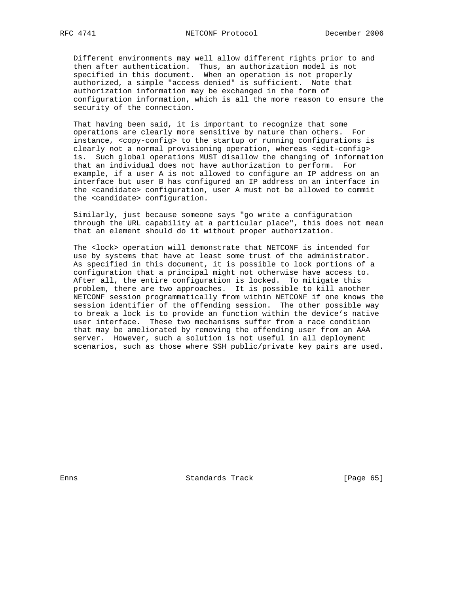Different environments may well allow different rights prior to and then after authentication. Thus, an authorization model is not specified in this document. When an operation is not properly authorized, a simple "access denied" is sufficient. Note that authorization information may be exchanged in the form of configuration information, which is all the more reason to ensure the security of the connection.

 That having been said, it is important to recognize that some operations are clearly more sensitive by nature than others. For instance, <copy-config> to the startup or running configurations is clearly not a normal provisioning operation, whereas <edit-config> is. Such global operations MUST disallow the changing of information that an individual does not have authorization to perform. For example, if a user A is not allowed to configure an IP address on an interface but user B has configured an IP address on an interface in the <candidate> configuration, user A must not be allowed to commit the <candidate> configuration.

 Similarly, just because someone says "go write a configuration through the URL capability at a particular place", this does not mean that an element should do it without proper authorization.

 The <lock> operation will demonstrate that NETCONF is intended for use by systems that have at least some trust of the administrator. As specified in this document, it is possible to lock portions of a configuration that a principal might not otherwise have access to. After all, the entire configuration is locked. To mitigate this problem, there are two approaches. It is possible to kill another NETCONF session programmatically from within NETCONF if one knows the session identifier of the offending session. The other possible way to break a lock is to provide an function within the device's native user interface. These two mechanisms suffer from a race condition that may be ameliorated by removing the offending user from an AAA server. However, such a solution is not useful in all deployment scenarios, such as those where SSH public/private key pairs are used.

Enns Standards Track [Page 65]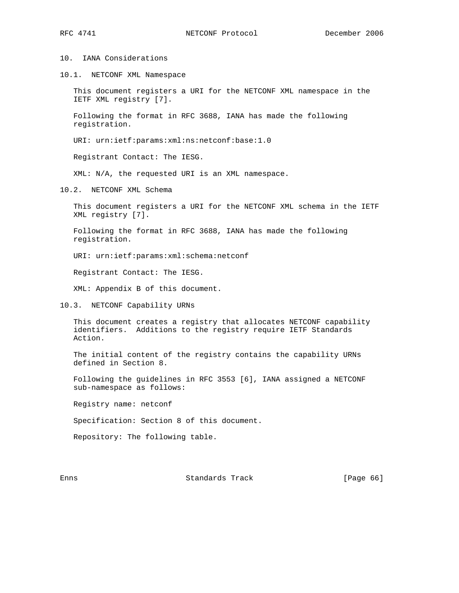10. IANA Considerations

10.1. NETCONF XML Namespace

 This document registers a URI for the NETCONF XML namespace in the IETF XML registry [7].

 Following the format in RFC 3688, IANA has made the following registration.

URI: urn:ietf:params:xml:ns:netconf:base:1.0

Registrant Contact: The IESG.

XML: N/A, the requested URI is an XML namespace.

10.2. NETCONF XML Schema

 This document registers a URI for the NETCONF XML schema in the IETF XML registry [7].

 Following the format in RFC 3688, IANA has made the following registration.

URI: urn:ietf:params:xml:schema:netconf

Registrant Contact: The IESG.

XML: Appendix B of this document.

10.3. NETCONF Capability URNs

 This document creates a registry that allocates NETCONF capability identifiers. Additions to the registry require IETF Standards Action.

 The initial content of the registry contains the capability URNs defined in Section 8.

 Following the guidelines in RFC 3553 [6], IANA assigned a NETCONF sub-namespace as follows:

Registry name: netconf

Specification: Section 8 of this document.

Repository: The following table.

Enns Standards Track [Page 66]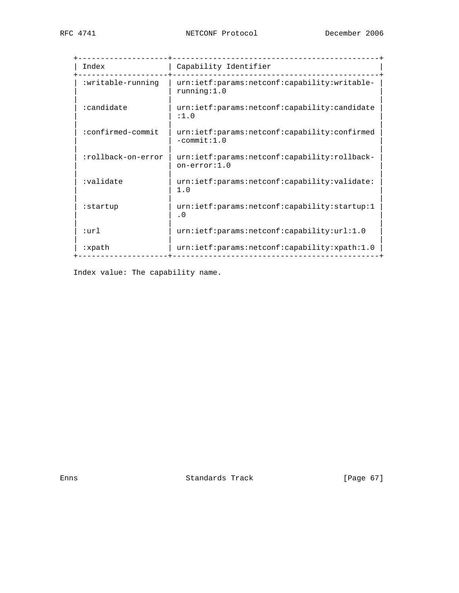| Index              | Capability Identifier                                          |
|--------------------|----------------------------------------------------------------|
| :writable-running  | urn:ietf:params:netconf:capability:writable-<br>running:1.0    |
| :candidate         | urn:ietf:params:netconf:capability:candidate<br>: 1.0          |
| :confirmed-commit  | urn:ietf:params:netconf:capability:confirmed<br>$-$ commit:1.0 |
| :rollback-on-error | urn:ietf:params:netconf:capability:rollback-<br>$on-error:1.0$ |
| :validate          | urn:ietf:params:netconf:capability:validate:<br>1.0            |
| :startup           | urn:ietf:params:netconf:capability:startup:1<br>$\cdot$ 0      |
| $:$ url            | urn:ietf:params:netconf:capability:url:1.0                     |
| :xpath             | urn:ietf:params:netconf:capability:xpath:1.0                   |

Index value: The capability name.

Enns Standards Track [Page 67]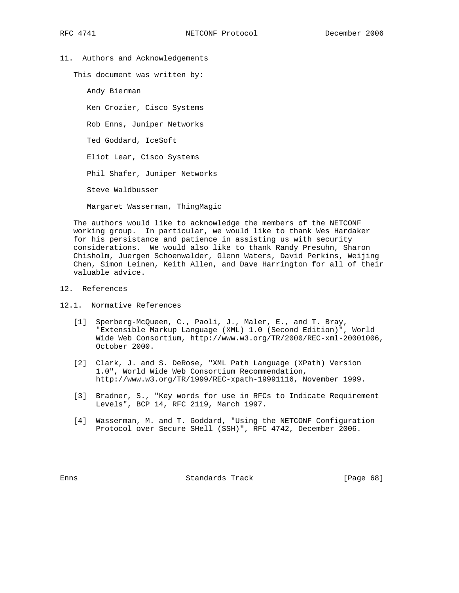11. Authors and Acknowledgements

This document was written by:

 Andy Bierman Ken Crozier, Cisco Systems Rob Enns, Juniper Networks Ted Goddard, IceSoft Eliot Lear, Cisco Systems Phil Shafer, Juniper Networks Steve Waldbusser

Margaret Wasserman, ThingMagic

 The authors would like to acknowledge the members of the NETCONF working group. In particular, we would like to thank Wes Hardaker for his persistance and patience in assisting us with security considerations. We would also like to thank Randy Presuhn, Sharon Chisholm, Juergen Schoenwalder, Glenn Waters, David Perkins, Weijing Chen, Simon Leinen, Keith Allen, and Dave Harrington for all of their valuable advice.

# 12. References

12.1. Normative References

- [1] Sperberg-McQueen, C., Paoli, J., Maler, E., and T. Bray, "Extensible Markup Language (XML) 1.0 (Second Edition)", World Wide Web Consortium, http://www.w3.org/TR/2000/REC-xml-20001006, October 2000.
- [2] Clark, J. and S. DeRose, "XML Path Language (XPath) Version 1.0", World Wide Web Consortium Recommendation, http://www.w3.org/TR/1999/REC-xpath-19991116, November 1999.
- [3] Bradner, S., "Key words for use in RFCs to Indicate Requirement Levels", BCP 14, RFC 2119, March 1997.
- [4] Wasserman, M. and T. Goddard, "Using the NETCONF Configuration Protocol over Secure SHell (SSH)", RFC 4742, December 2006.

Enns Standards Track [Page 68]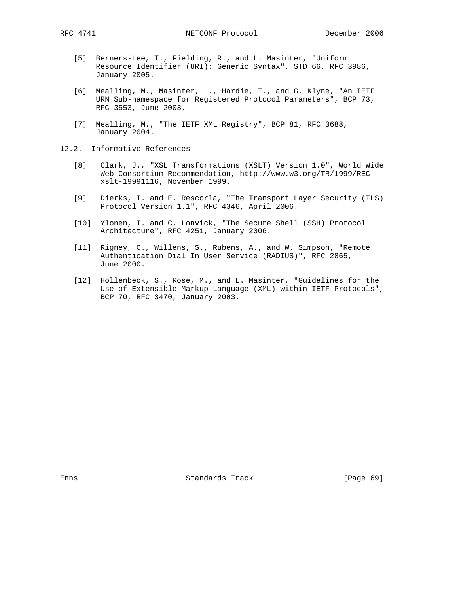- [5] Berners-Lee, T., Fielding, R., and L. Masinter, "Uniform Resource Identifier (URI): Generic Syntax", STD 66, RFC 3986, January 2005.
- [6] Mealling, M., Masinter, L., Hardie, T., and G. Klyne, "An IETF URN Sub-namespace for Registered Protocol Parameters", BCP 73, RFC 3553, June 2003.
- [7] Mealling, M., "The IETF XML Registry", BCP 81, RFC 3688, January 2004.
- 12.2. Informative References
	- [8] Clark, J., "XSL Transformations (XSLT) Version 1.0", World Wide Web Consortium Recommendation, http://www.w3.org/TR/1999/REC xslt-19991116, November 1999.
	- [9] Dierks, T. and E. Rescorla, "The Transport Layer Security (TLS) Protocol Version 1.1", RFC 4346, April 2006.
	- [10] Ylonen, T. and C. Lonvick, "The Secure Shell (SSH) Protocol Architecture", RFC 4251, January 2006.
	- [11] Rigney, C., Willens, S., Rubens, A., and W. Simpson, "Remote Authentication Dial In User Service (RADIUS)", RFC 2865, June 2000.
	- [12] Hollenbeck, S., Rose, M., and L. Masinter, "Guidelines for the Use of Extensible Markup Language (XML) within IETF Protocols", BCP 70, RFC 3470, January 2003.

Enns Standards Track [Page 69]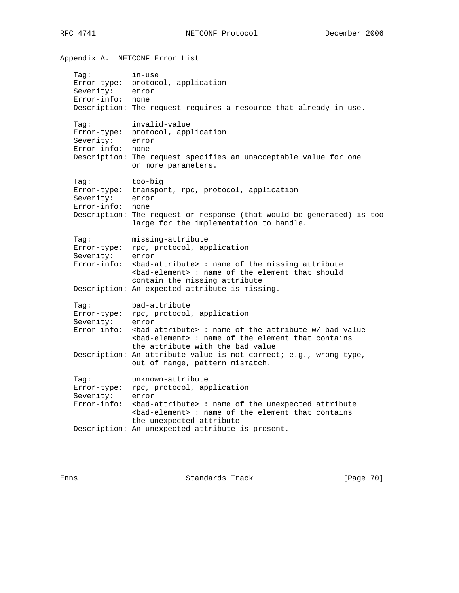Appendix A. NETCONF Error List Tag: in-use Error-type: protocol, application Severity: error Error-info: none Description: The request requires a resource that already in use. Tag: invalid-value Error-type: protocol, application Severity: error Error-info: none Description: The request specifies an unacceptable value for one or more parameters. Tag: too-big Error-type: transport, rpc, protocol, application Severity: error Error-info: none Description: The request or response (that would be generated) is too large for the implementation to handle. Tag: missing-attribute Error-type: rpc, protocol, application Severity: error Error-info: <bad-attribute> : name of the missing attribute <bad-element> : name of the element that should contain the missing attribute Description: An expected attribute is missing. Tag: bad-attribute Error-type: rpc, protocol, application Severity: error Error-info: <br/>bad-attribute> : name of the attribute w/ bad value <bad-element> : name of the element that contains the attribute with the bad value Description: An attribute value is not correct; e.g., wrong type, out of range, pattern mismatch. Tag: unknown-attribute Error-type: rpc, protocol, application<br>Severity: error Severity: Error-info: <br/>bad-attribute> : name of the unexpected attribute <bad-element> : name of the element that contains the unexpected attribute Description: An unexpected attribute is present.

Enns Standards Track [Page 70]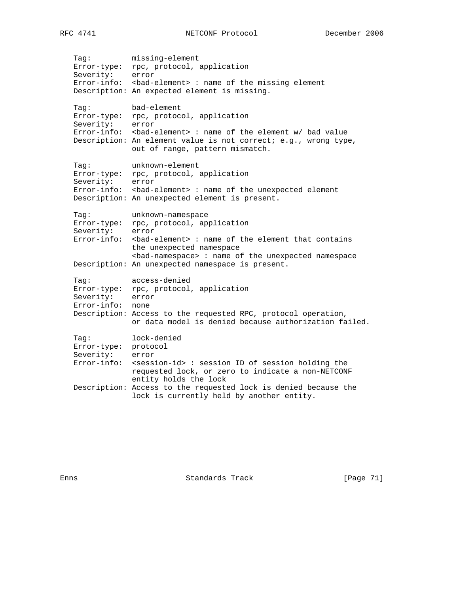Tag: missing-element Error-type: rpc, protocol, application Severity: error Error-info: <bad-element> : name of the missing element Description: An expected element is missing. Tag: bad-element Error-type: rpc, protocol, application Severity: error Error-info: <bad-element> : name of the element w/ bad value Description: An element value is not correct; e.g., wrong type, out of range, pattern mismatch. Tag: unknown-element Error-type: rpc, protocol, application Severity: error Error-info: <bad-element> : name of the unexpected element Description: An unexpected element is present. Tag: unknown-namespace Error-type: rpc, protocol, application Severity: error Error-info: <br/>bad-element> : name of the element that contains the unexpected namespace <bad-namespace> : name of the unexpected namespace Description: An unexpected namespace is present. Tag: access-denied Error-type: rpc, protocol, application Severity: error Error-info: none Description: Access to the requested RPC, protocol operation, or data model is denied because authorization failed. Tag: lock-denied Error-type: protocol Severity: error Error-info: <session-id> : session ID of session holding the requested lock, or zero to indicate a non-NETCONF entity holds the lock Description: Access to the requested lock is denied because the lock is currently held by another entity.

Enns Standards Track [Page 71]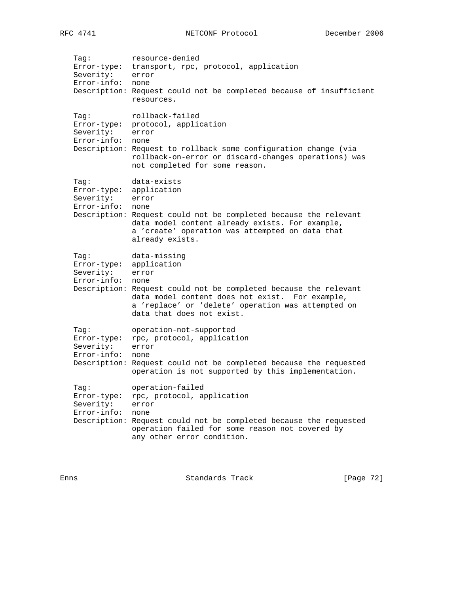```
 Tag: resource-denied
   Error-type: transport, rpc, protocol, application
 Severity: error
 Error-info: none
   Description: Request could not be completed because of insufficient
               resources.
   Tag: rollback-failed
   Error-type: protocol, application
   Severity: error
   Error-info: none
   Description: Request to rollback some configuration change (via
               rollback-on-error or discard-changes operations) was
                not completed for some reason.
   Tag: data-exists
   Error-type: application
   Severity: error
   Error-info: none
   Description: Request could not be completed because the relevant
               data model content already exists. For example,
                a 'create' operation was attempted on data that
                already exists.
   Tag: data-missing
   Error-type: application
 Severity: error
 Error-info: none
   Description: Request could not be completed because the relevant
                data model content does not exist. For example,
                a 'replace' or 'delete' operation was attempted on
                data that does not exist.
   Tag: operation-not-supported
   Error-type: rpc, protocol, application
   Severity: error
   Error-info: none
   Description: Request could not be completed because the requested
               operation is not supported by this implementation.
   Tag: operation-failed
   Error-type: rpc, protocol, application
   Severity: error
   Error-info: none
   Description: Request could not be completed because the requested
                operation failed for some reason not covered by
                any other error condition.
```
Enns Standards Track [Page 72]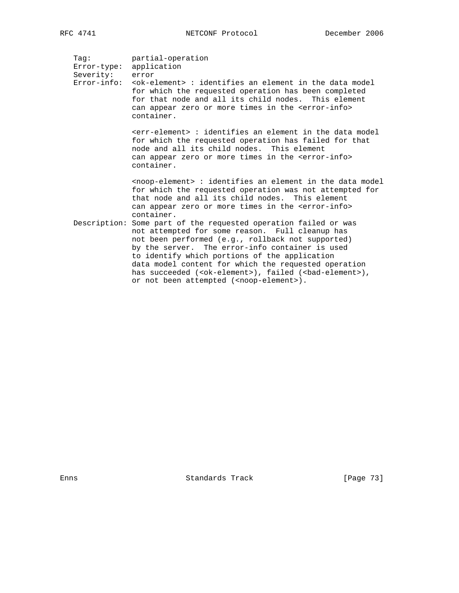| Taq:<br>Error-type: | partial-operation<br>application                                                                                                                                                                                                                                                                                                                                                                                                                                                    |
|---------------------|-------------------------------------------------------------------------------------------------------------------------------------------------------------------------------------------------------------------------------------------------------------------------------------------------------------------------------------------------------------------------------------------------------------------------------------------------------------------------------------|
| Severity:           | error                                                                                                                                                                                                                                                                                                                                                                                                                                                                               |
| $Error-info:$       | <ok-element>: identifies an element in the data model<br/>for which the requested operation has been completed<br/>for that node and all its child nodes. This element<br/>can appear zero or more times in the <error-info><br/>container.</error-info></ok-element>                                                                                                                                                                                                               |
|                     | serr-element>: identifies an element in the data model<br>for which the requested operation has failed for that<br>node and all its child nodes. This element<br>can appear zero or more times in the <error-info><br/>container.</error-info>                                                                                                                                                                                                                                      |
|                     | <noop-element>: identifies an element in the data model<br/>for which the requested operation was not attempted for<br/>that node and all its child nodes. This element<br/>can appear zero or more times in the <error-info><br/>container.</error-info></noop-element>                                                                                                                                                                                                            |
|                     | Description: Some part of the requested operation failed or was<br>not attempted for some reason. Full cleanup has<br>not been performed (e.g., rollback not supported)<br>by the server. The error-info container is used<br>to identify which portions of the application<br>data model content for which the requested operation<br>has succeeded ( <ok-element>), failed (<bad-element>),<br/>or not been attempted (<noop-element>).</noop-element></bad-element></ok-element> |

Enns Standards Track [Page 73]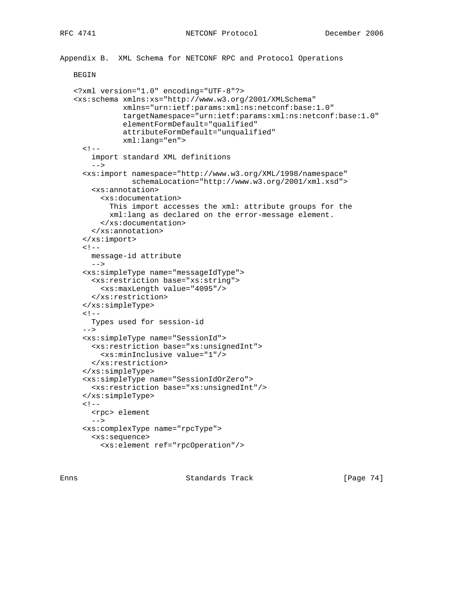RFC 4741 NETCONF Protocol December 2006

```
Appendix B. XML Schema for NETCONF RPC and Protocol Operations
    BEGIN
    <?xml version="1.0" encoding="UTF-8"?>
    <xs:schema xmlns:xs="http://www.w3.org/2001/XMLSchema"
               xmlns="urn:ietf:params:xml:ns:netconf:base:1.0"
               targetNamespace="urn:ietf:params:xml:ns:netconf:base:1.0"
               elementFormDefault="qualified"
               attributeFormDefault="unqualified"
               xml:lang="en">
     < ! - - import standard XML definitions
--&> <xs:import namespace="http://www.w3.org/XML/1998/namespace"
                 schemaLocation="http://www.w3.org/2001/xml.xsd">
        <xs:annotation>
          <xs:documentation>
            This import accesses the xml: attribute groups for the
            xml:lang as declared on the error-message element.
          </xs:documentation>
        </xs:annotation>
      </xs:import>
     < ! - - message-id attribute
       --&> <xs:simpleType name="messageIdType">
        <xs:restriction base="xs:string">
          <xs:maxLength value="4095"/>
        </xs:restriction>
      </xs:simpleType>
     < ! -- Types used for session-id
     --&> <xs:simpleType name="SessionId">
        <xs:restriction base="xs:unsignedInt">
          <xs:minInclusive value="1"/>
        </xs:restriction>
      </xs:simpleType>
      <xs:simpleType name="SessionIdOrZero">
        <xs:restriction base="xs:unsignedInt"/>
      </xs:simpleType>
     < ! -- <rpc> element
       --&> <xs:complexType name="rpcType">
        <xs:sequence>
          <xs:element ref="rpcOperation"/>
```
Enns Standards Track [Page 74]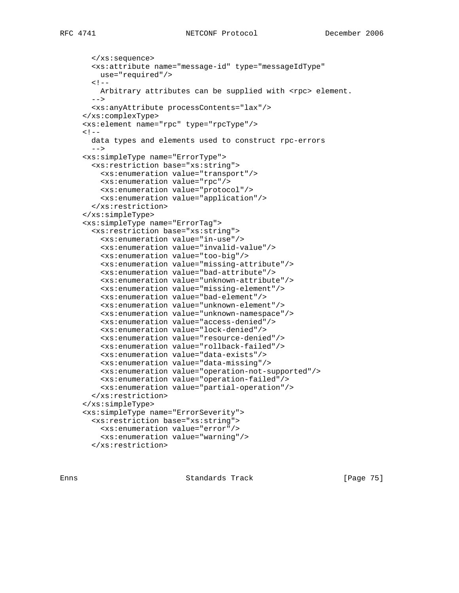```
 </xs:sequence>
  <xs:attribute name="message-id" type="messageIdType"
    use="required"/>
  <! -Arbitrary attributes can be supplied with <rpc> element.
 -- <xs:anyAttribute processContents="lax"/>
 </xs:complexType>
 <xs:element name="rpc" type="rpcType"/>
<! -- data types and elements used to construct rpc-errors
 -- <xs:simpleType name="ErrorType">
  <xs:restriction base="xs:string">
    <xs:enumeration value="transport"/>
    <xs:enumeration value="rpc"/>
    <xs:enumeration value="protocol"/>
    <xs:enumeration value="application"/>
  </xs:restriction>
 </xs:simpleType>
 <xs:simpleType name="ErrorTag">
  <xs:restriction base="xs:string">
    <xs:enumeration value="in-use"/>
    <xs:enumeration value="invalid-value"/>
    <xs:enumeration value="too-big"/>
     <xs:enumeration value="missing-attribute"/>
    <xs:enumeration value="bad-attribute"/>
    <xs:enumeration value="unknown-attribute"/>
    <xs:enumeration value="missing-element"/>
    <xs:enumeration value="bad-element"/>
    <xs:enumeration value="unknown-element"/>
    <xs:enumeration value="unknown-namespace"/>
    <xs:enumeration value="access-denied"/>
    <xs:enumeration value="lock-denied"/>
    <xs:enumeration value="resource-denied"/>
    <xs:enumeration value="rollback-failed"/>
    <xs:enumeration value="data-exists"/>
     <xs:enumeration value="data-missing"/>
     <xs:enumeration value="operation-not-supported"/>
    <xs:enumeration value="operation-failed"/>
     <xs:enumeration value="partial-operation"/>
  </xs:restriction>
 </xs:simpleType>
 <xs:simpleType name="ErrorSeverity">
  <xs:restriction base="xs:string">
    <xs:enumeration value="error"/>
    <xs:enumeration value="warning"/>
  </xs:restriction>
```
Enns Standards Track [Page 75]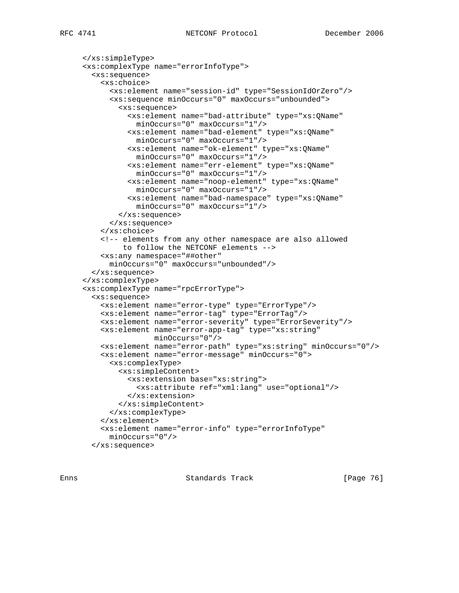```
 </xs:simpleType>
 <xs:complexType name="errorInfoType">
   <xs:sequence>
     <xs:choice>
       <xs:element name="session-id" type="SessionIdOrZero"/>
       <xs:sequence minOccurs="0" maxOccurs="unbounded">
         <xs:sequence>
           <xs:element name="bad-attribute" type="xs:QName"
             minOccurs="0" maxOccurs="1"/>
           <xs:element name="bad-element" type="xs:QName"
            minOccurs="0" maxOccurs="1"/>
           <xs:element name="ok-element" type="xs:QName"
             minOccurs="0" maxOccurs="1"/>
           <xs:element name="err-element" type="xs:QName"
             minOccurs="0" maxOccurs="1"/>
           <xs:element name="noop-element" type="xs:QName"
             minOccurs="0" maxOccurs="1"/>
           <xs:element name="bad-namespace" type="xs:QName"
             minOccurs="0" maxOccurs="1"/>
         </xs:sequence>
       </xs:sequence>
     </xs:choice>
     <!-- elements from any other namespace are also allowed
          to follow the NETCONF elements -->
     <xs:any namespace="##other"
      minOccurs="0" maxOccurs="unbounded"/>
   </xs:sequence>
 </xs:complexType>
 <xs:complexType name="rpcErrorType">
  <xs:sequence>
    <xs:element name="error-type" type="ErrorType"/>
    <xs:element name="error-tag" type="ErrorTag"/>
     <xs:element name="error-severity" type="ErrorSeverity"/>
     <xs:element name="error-app-tag" type="xs:string"
                 minOccurs="0"/>
     <xs:element name="error-path" type="xs:string" minOccurs="0"/>
     <xs:element name="error-message" minOccurs="0">
       <xs:complexType>
         <xs:simpleContent>
           <xs:extension base="xs:string">
             <xs:attribute ref="xml:lang" use="optional"/>
           </xs:extension>
         </xs:simpleContent>
       </xs:complexType>
     </xs:element>
     <xs:element name="error-info" type="errorInfoType"
      minOccurs="0"/>
  </xs:sequence>
```
Enns Standards Track [Page 76]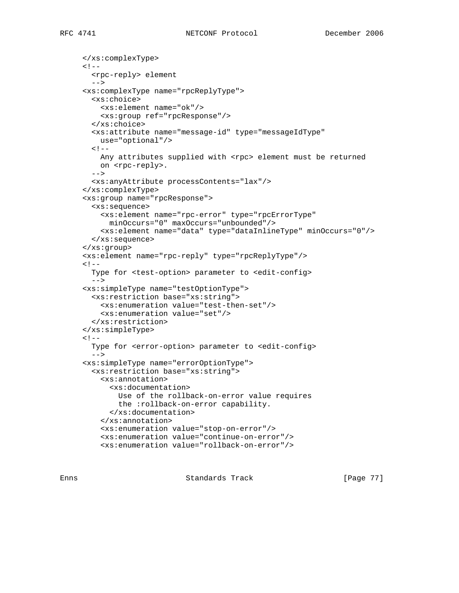```
 </xs:complexType>
     < ! -- <rpc-reply> element
       --&> <xs:complexType name="rpcReplyType">
        <xs:choice>
          <xs:element name="ok"/>
          <xs:group ref="rpcResponse"/>
        </xs:choice>
        <xs:attribute name="message-id" type="messageIdType"
         use="optional"/>
       < 1 - -Any attributes supplied with <rpc> element must be returned
         on <rpc-reply>.
 -->
        <xs:anyAttribute processContents="lax"/>
      </xs:complexType>
      <xs:group name="rpcResponse">
       <xs:sequence>
          <xs:element name="rpc-error" type="rpcErrorType"
            minOccurs="0" maxOccurs="unbounded"/>
          <xs:element name="data" type="dataInlineType" minOccurs="0"/>
        </xs:sequence>
      </xs:group>
      <xs:element name="rpc-reply" type="rpcReplyType"/>
     \lt! --
       Type for <test-option> parameter to <edit-config>
       --&> <xs:simpleType name="testOptionType">
        <xs:restriction base="xs:string">
         <xs:enumeration value="test-then-set"/>
          <xs:enumeration value="set"/>
        </xs:restriction>
      </xs:simpleType>
     <! -Type for <error-option> parameter to <edit-config>
        -->
      <xs:simpleType name="errorOptionType">
        <xs:restriction base="xs:string">
          <xs:annotation>
            <xs:documentation>
              Use of the rollback-on-error value requires
              the :rollback-on-error capability.
            </xs:documentation>
          </xs:annotation>
          <xs:enumeration value="stop-on-error"/>
          <xs:enumeration value="continue-on-error"/>
          <xs:enumeration value="rollback-on-error"/>
```
Enns Standards Track [Page 77]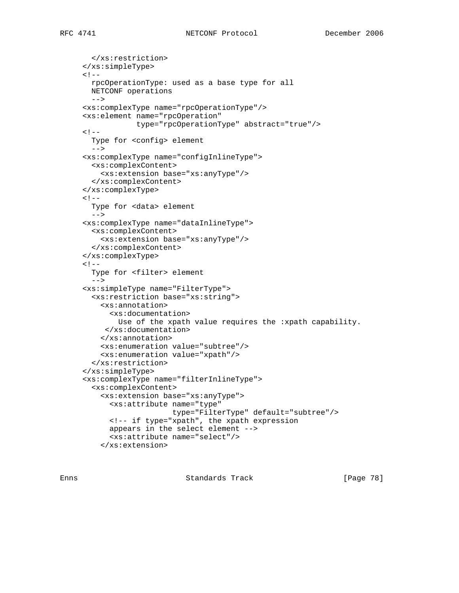</xs:restriction> </xs:simpleType>  $\lt$  !  $-$  rpcOperationType: used as a base type for all NETCONF operations  $--&>$  <xs:complexType name="rpcOperationType"/> <xs:element name="rpcOperation" type="rpcOperationType" abstract="true"/>  $<$ !  $-$  Type for <config> element  $--&>$  <xs:complexType name="configInlineType"> <xs:complexContent> <xs:extension base="xs:anyType"/> </xs:complexContent> </xs:complexType>  $< ! - -$ Type for <data> element --> <xs:complexType name="dataInlineType"> <xs:complexContent> <xs:extension base="xs:anyType"/> </xs:complexContent> </xs:complexType>  $<$  !  $--$  Type for <filter> element  $--&>$  <xs:simpleType name="FilterType"> <xs:restriction base="xs:string"> <xs:annotation> <xs:documentation> Use of the xpath value requires the :xpath capability. </xs:documentation> </xs:annotation> <xs:enumeration value="subtree"/> <xs:enumeration value="xpath"/> </xs:restriction> </xs:simpleType> <xs:complexType name="filterInlineType"> <xs:complexContent> <xs:extension base="xs:anyType"> <xs:attribute name="type" type="FilterType" default="subtree"/> <!-- if type="xpath", the xpath expression appears in the select element --> <xs:attribute name="select"/> </xs:extension>

Enns Standards Track [Page 78]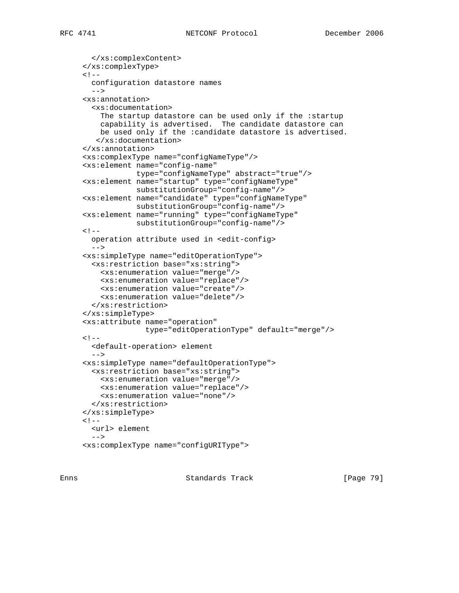```
 </xs:complexContent>
 </xs:complexType>
<! - configuration datastore names
   -->
 <xs:annotation>
   <xs:documentation>
     The startup datastore can be used only if the :startup
     capability is advertised. The candidate datastore can
    be used only if the :candidate datastore is advertised.
    </xs:documentation>
 </xs:annotation>
 <xs:complexType name="configNameType"/>
 <xs:element name="config-name"
             type="configNameType" abstract="true"/>
 <xs:element name="startup" type="configNameType"
            substitutionGroup="config-name"/>
 <xs:element name="candidate" type="configNameType"
            substitutionGroup="config-name"/>
 <xs:element name="running" type="configNameType"
             substitutionGroup="config-name"/>
< ! - operation attribute used in <edit-config>
  --&> <xs:simpleType name="editOperationType">
   <xs:restriction base="xs:string">
     <xs:enumeration value="merge"/>
    <xs:enumeration value="replace"/>
     <xs:enumeration value="create"/>
     <xs:enumeration value="delete"/>
   </xs:restriction>
 </xs:simpleType>
 <xs:attribute name="operation"
               type="editOperationType" default="merge"/>
< ! -- <default-operation> element
  -- <xs:simpleType name="defaultOperationType">
   <xs:restriction base="xs:string">
    <xs:enumeration value="merge"/>
     <xs:enumeration value="replace"/>
     <xs:enumeration value="none"/>
   </xs:restriction>
 </xs:simpleType>
\lt! --
  <url> element
  --&> <xs:complexType name="configURIType">
```
Enns Standards Track [Page 79]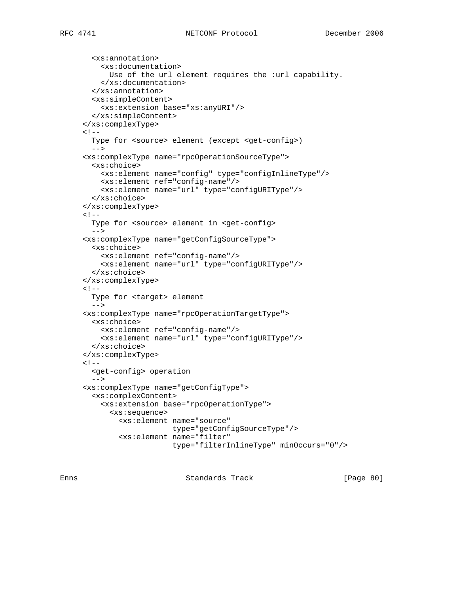```
 <xs:annotation>
    <xs:documentation>
      Use of the url element requires the :url capability.
     </xs:documentation>
   </xs:annotation>
   <xs:simpleContent>
     <xs:extension base="xs:anyURI"/>
   </xs:simpleContent>
 </xs:complexType>
<!- Type for <source> element (except <get-config>)
  --&> <xs:complexType name="rpcOperationSourceType">
   <xs:choice>
     <xs:element name="config" type="configInlineType"/>
     <xs:element ref="config-name"/>
     <xs:element name="url" type="configURIType"/>
   </xs:choice>
 </xs:complexType>
\lt! --
 Type for <source> element in <get-config>
   -->
 <xs:complexType name="getConfigSourceType">
  <xs:choice>
    <xs:element ref="config-name"/>
     <xs:element name="url" type="configURIType"/>
   </xs:choice>
 </xs:complexType>
< ! -- Type for <target> element
  --&> <xs:complexType name="rpcOperationTargetType">
  <xs:choice>
    <xs:element ref="config-name"/>
     <xs:element name="url" type="configURIType"/>
  </xs:choice>
 </xs:complexType>
< ! -- <get-config> operation
   -->
 <xs:complexType name="getConfigType">
  <xs:complexContent>
     <xs:extension base="rpcOperationType">
       <xs:sequence>
         <xs:element name="source"
                     type="getConfigSourceType"/>
         <xs:element name="filter"
                      type="filterInlineType" minOccurs="0"/>
```
Enns Standards Track [Page 80]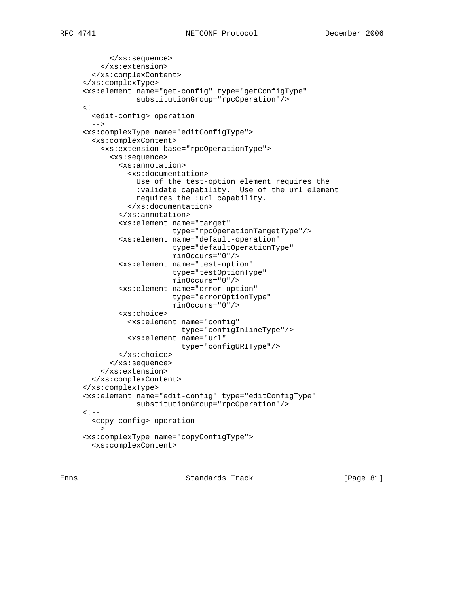```
 </xs:sequence>
     </xs:extension>
   </xs:complexContent>
 </xs:complexType>
 <xs:element name="get-config" type="getConfigType"
             substitutionGroup="rpcOperation"/>
<! - <edit-config> operation
   -->
 <xs:complexType name="editConfigType">
   <xs:complexContent>
     <xs:extension base="rpcOperationType">
       <xs:sequence>
         <xs:annotation>
           <xs:documentation>
             Use of the test-option element requires the
             :validate capability. Use of the url element
             requires the :url capability.
           </xs:documentation>
         </xs:annotation>
         <xs:element name="target"
                      type="rpcOperationTargetType"/>
         <xs:element name="default-operation"
                      type="defaultOperationType"
                      minOccurs="0"/>
         <xs:element name="test-option"
                      type="testOptionType"
                      minOccurs="0"/>
         <xs:element name="error-option"
                     type="errorOptionType"
                     minOccurs="0"/>
         <xs:choice>
           <xs:element name="config"
                       type="configInlineType"/>
           <xs:element name="url"
                        type="configURIType"/>
         </xs:choice>
       </xs:sequence>
     </xs:extension>
   </xs:complexContent>
 </xs:complexType>
 <xs:element name="edit-config" type="editConfigType"
             substitutionGroup="rpcOperation"/>
< ! -- <copy-config> operation
  --&> <xs:complexType name="copyConfigType">
  <xs:complexContent>
```
Enns Standards Track [Page 81]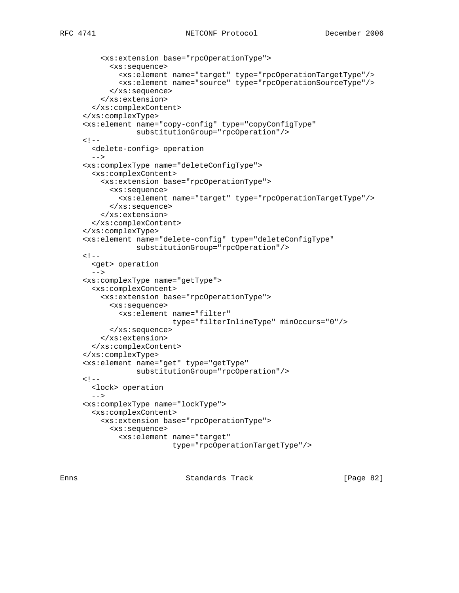```
 <xs:extension base="rpcOperationType">
       <xs:sequence>
         <xs:element name="target" type="rpcOperationTargetType"/>
         <xs:element name="source" type="rpcOperationSourceType"/>
       </xs:sequence>
     </xs:extension>
   </xs:complexContent>
 </xs:complexType>
 <xs:element name="copy-config" type="copyConfigType"
             substitutionGroup="rpcOperation"/>
< ! -- <delete-config> operation
   -->
 <xs:complexType name="deleteConfigType">
   <xs:complexContent>
     <xs:extension base="rpcOperationType">
       <xs:sequence>
         <xs:element name="target" type="rpcOperationTargetType"/>
       </xs:sequence>
     </xs:extension>
   </xs:complexContent>
 </xs:complexType>
 <xs:element name="delete-config" type="deleteConfigType"
             substitutionGroup="rpcOperation"/>
< ! - - <get> operation
   -->
 <xs:complexType name="getType">
   <xs:complexContent>
     <xs:extension base="rpcOperationType">
       <xs:sequence>
         <xs:element name="filter"
                     type="filterInlineType" minOccurs="0"/>
       </xs:sequence>
     </xs:extension>
   </xs:complexContent>
 </xs:complexType>
 <xs:element name="get" type="getType"
             substitutionGroup="rpcOperation"/>
< ! -- <lock> operation
  --&> <xs:complexType name="lockType">
   <xs:complexContent>
     <xs:extension base="rpcOperationType">
       <xs:sequence>
         <xs:element name="target"
                      type="rpcOperationTargetType"/>
```
Enns Standards Track [Page 82]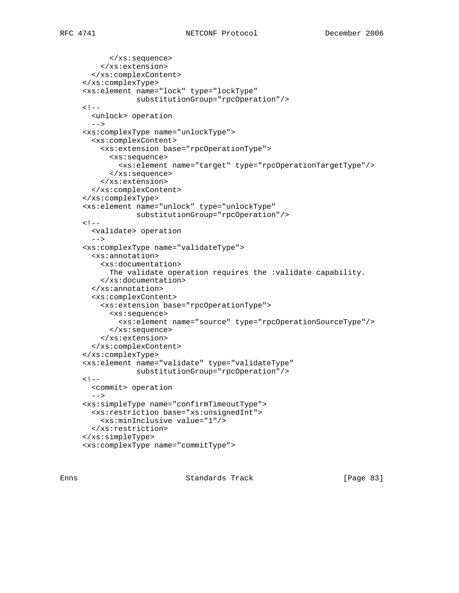```
 </xs:sequence>
     </xs:extension>
   </xs:complexContent>
 </xs:complexType>
 <xs:element name="lock" type="lockType"
             substitutionGroup="rpcOperation"/>
<! -- <unlock> operation
  --&> <xs:complexType name="unlockType">
   <xs:complexContent>
     <xs:extension base="rpcOperationType">
       <xs:sequence>
         <xs:element name="target" type="rpcOperationTargetType"/>
       </xs:sequence>
     </xs:extension>
  </xs:complexContent>
 </xs:complexType>
 <xs:element name="unlock" type="unlockType"
             substitutionGroup="rpcOperation"/>
\lt! --
  <validate> operation
  --&> <xs:complexType name="validateType">
  <xs:annotation>
     <xs:documentation>
      The validate operation requires the :validate capability.
     </xs:documentation>
   </xs:annotation>
   <xs:complexContent>
     <xs:extension base="rpcOperationType">
       <xs:sequence>
         <xs:element name="source" type="rpcOperationSourceType"/>
       </xs:sequence>
     </xs:extension>
   </xs:complexContent>
 </xs:complexType>
 <xs:element name="validate" type="validateType"
             substitutionGroup="rpcOperation"/>
<!- <commit> operation
  --&> <xs:simpleType name="confirmTimeoutType">
  <xs:restriction base="xs:unsignedInt">
     <xs:minInclusive value="1"/>
  </xs:restriction>
 </xs:simpleType>
 <xs:complexType name="commitType">
```
Enns Standards Track [Page 83]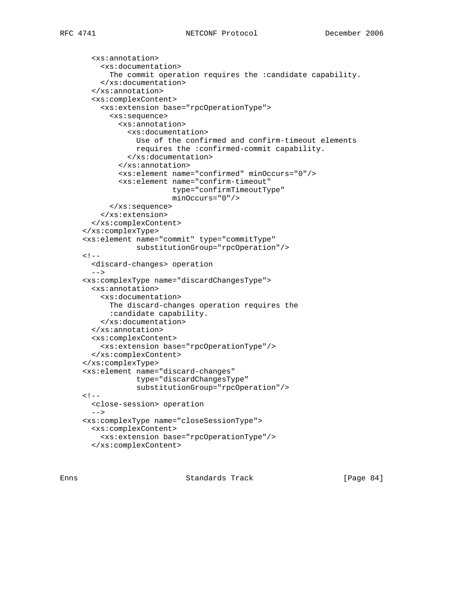```
 <xs:annotation>
   <xs:documentation>
```

```
The commit operation requires the : candidate capability.
     </xs:documentation>
   </xs:annotation>
   <xs:complexContent>
     <xs:extension base="rpcOperationType">
       <xs:sequence>
         <xs:annotation>
           <xs:documentation>
             Use of the confirmed and confirm-timeout elements
             requires the :confirmed-commit capability.
           </xs:documentation>
         </xs:annotation>
         <xs:element name="confirmed" minOccurs="0"/>
         <xs:element name="confirm-timeout"
                     type="confirmTimeoutType"
                      minOccurs="0"/>
       </xs:sequence>
     </xs:extension>
   </xs:complexContent>
 </xs:complexType>
 <xs:element name="commit" type="commitType"
             substitutionGroup="rpcOperation"/>
< ! - - <discard-changes> operation
  --&> <xs:complexType name="discardChangesType">
   <xs:annotation>
     <xs:documentation>
       The discard-changes operation requires the
       :candidate capability.
     </xs:documentation>
   </xs:annotation>
   <xs:complexContent>
     <xs:extension base="rpcOperationType"/>
   </xs:complexContent>
 </xs:complexType>
 <xs:element name="discard-changes"
             type="discardChangesType"
             substitutionGroup="rpcOperation"/>
< ! - - <close-session> operation
   -->
 <xs:complexType name="closeSessionType">
  <xs:complexContent>
     <xs:extension base="rpcOperationType"/>
   </xs:complexContent>
```
Enns Standards Track [Page 84]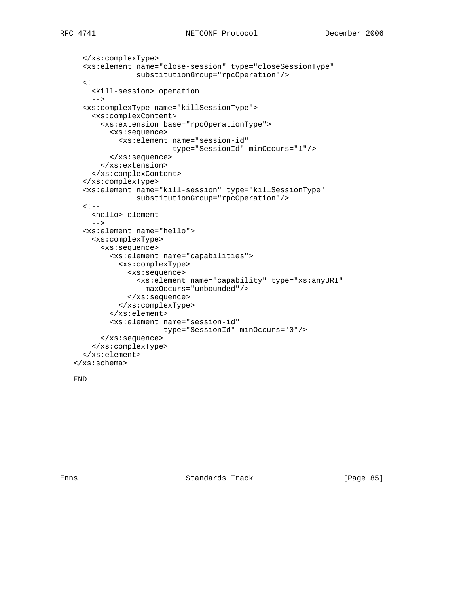```
 </xs:complexType>
   <xs:element name="close-session" type="closeSessionType"
               substitutionGroup="rpcOperation"/>
  < ! -- <kill-session> operation
    --&> <xs:complexType name="killSessionType">
     <xs:complexContent>
       <xs:extension base="rpcOperationType">
         <xs:sequence>
           <xs:element name="session-id"
                  type="SessionId" minOccurs="1"/>
         </xs:sequence>
       </xs:extension>
     </xs:complexContent>
   </xs:complexType>
   <xs:element name="kill-session" type="killSessionType"
               substitutionGroup="rpcOperation"/>
  < ! -- <hello> element
    --&> <xs:element name="hello">
    <xs:complexType>
       <xs:sequence>
         <xs:element name="capabilities">
           <xs:complexType>
             <xs:sequence>
               <xs:element name="capability" type="xs:anyURI"
                 maxOccurs="unbounded"/>
             </xs:sequence>
           </xs:complexType>
         </xs:element>
         <xs:element name="session-id"
                     type="SessionId" minOccurs="0"/>
       </xs:sequence>
     </xs:complexType>
   </xs:element>
 </xs:schema>
```
END

Enns Standards Track [Page 85]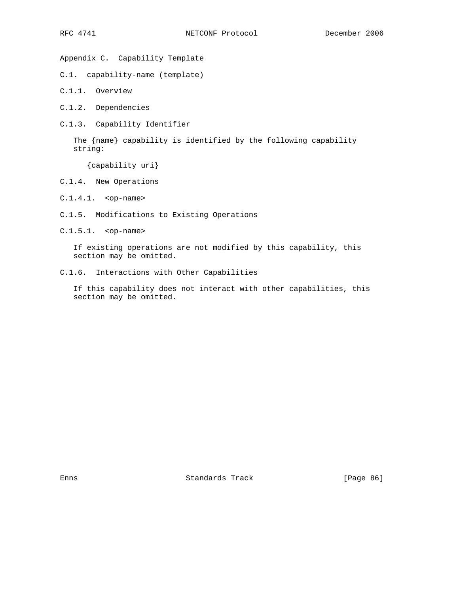Appendix C. Capability Template

- C.1. capability-name (template)
- C.1.1. Overview
- C.1.2. Dependencies
- C.1.3. Capability Identifier

 The {name} capability is identified by the following capability string:

{capability uri}

- C.1.4. New Operations
- C.1.4.1. <op-name>
- C.1.5. Modifications to Existing Operations

C.1.5.1. <op-name>

 If existing operations are not modified by this capability, this section may be omitted.

C.1.6. Interactions with Other Capabilities

 If this capability does not interact with other capabilities, this section may be omitted.

Enns Standards Track [Page 86]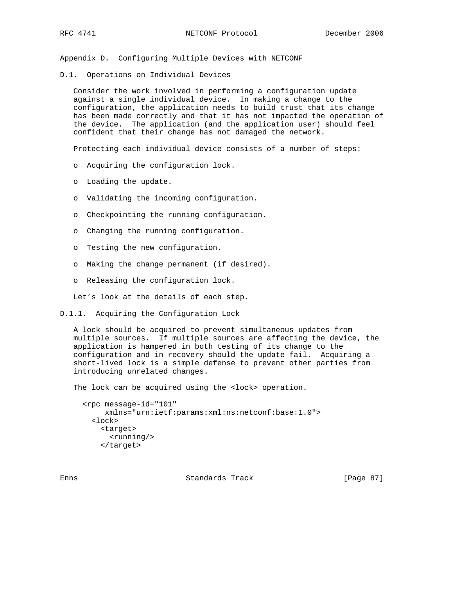Appendix D. Configuring Multiple Devices with NETCONF

D.1. Operations on Individual Devices

 Consider the work involved in performing a configuration update against a single individual device. In making a change to the configuration, the application needs to build trust that its change has been made correctly and that it has not impacted the operation of the device. The application (and the application user) should feel confident that their change has not damaged the network.

Protecting each individual device consists of a number of steps:

- o Acquiring the configuration lock.
- o Loading the update.
- o Validating the incoming configuration.
- o Checkpointing the running configuration.
- o Changing the running configuration.
- o Testing the new configuration.
- o Making the change permanent (if desired).
- o Releasing the configuration lock.

Let's look at the details of each step.

D.1.1. Acquiring the Configuration Lock

 A lock should be acquired to prevent simultaneous updates from multiple sources. If multiple sources are affecting the device, the application is hampered in both testing of its change to the configuration and in recovery should the update fail. Acquiring a short-lived lock is a simple defense to prevent other parties from introducing unrelated changes.

The lock can be acquired using the <lock> operation.

```
 <rpc message-id="101"
      xmlns="urn:ietf:params:xml:ns:netconf:base:1.0">
   <lock>
    <target>
       <running/>
     </target>
```
Enns Standards Track [Page 87]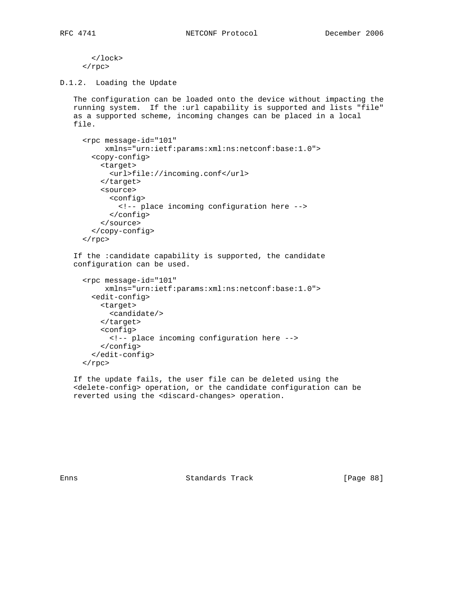```
 </lock>
\langle rpc>
```
D.1.2. Loading the Update

```
 The configuration can be loaded onto the device without impacting the
 running system. If the :url capability is supported and lists "file"
 as a supported scheme, incoming changes can be placed in a local
 file.
```

```
 <rpc message-id="101"
     xmlns="urn:ietf:params:xml:ns:netconf:base:1.0">
   <copy-config>
     <target>
       <url>file://incoming.conf</url>
     </target>
     <source>
       <config>
         <!-- place incoming configuration here -->
       </config>
     </source>
   </copy-config>
```

```
\langlerpc>
```

```
 If the :candidate capability is supported, the candidate
 configuration can be used.
```

```
 <rpc message-id="101"
      xmlns="urn:ietf:params:xml:ns:netconf:base:1.0">
   <edit-config>
     <target>
       <candidate/>
     </target>
     <config>
       <!-- place incoming configuration here -->
     </config>
   </edit-config>
\langle rpc>
```
 If the update fails, the user file can be deleted using the <delete-config> operation, or the candidate configuration can be reverted using the <discard-changes> operation.

Enns Standards Track [Page 88]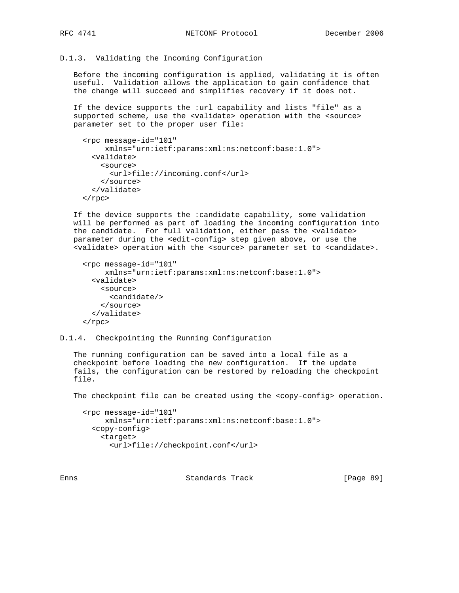## D.1.3. Validating the Incoming Configuration

 Before the incoming configuration is applied, validating it is often useful. Validation allows the application to gain confidence that the change will succeed and simplifies recovery if it does not.

 If the device supports the :url capability and lists "file" as a supported scheme, use the <validate> operation with the <source> parameter set to the proper user file:

```
 <rpc message-id="101"
      xmlns="urn:ietf:params:xml:ns:netconf:base:1.0">
   <validate>
     <source>
       <url>file://incoming.conf</url>
     </source>
   </validate>
\langle /rpc>
```
 If the device supports the :candidate capability, some validation will be performed as part of loading the incoming configuration into the candidate. For full validation, either pass the <validate> parameter during the <edit-config> step given above, or use the <validate> operation with the <source> parameter set to <candidate>.

```
 <rpc message-id="101"
      xmlns="urn:ietf:params:xml:ns:netconf:base:1.0">
   <validate>
     <source>
       <candidate/>
     </source>
   </validate>
\langle rpc>
```
D.1.4. Checkpointing the Running Configuration

 The running configuration can be saved into a local file as a checkpoint before loading the new configuration. If the update fails, the configuration can be restored by reloading the checkpoint file.

The checkpoint file can be created using the <copy-config> operation.

```
 <rpc message-id="101"
     xmlns="urn:ietf:params:xml:ns:netconf:base:1.0">
  <copy-config>
    <target>
       <url>file://checkpoint.conf</url>
```
Enns Standards Track [Page 89]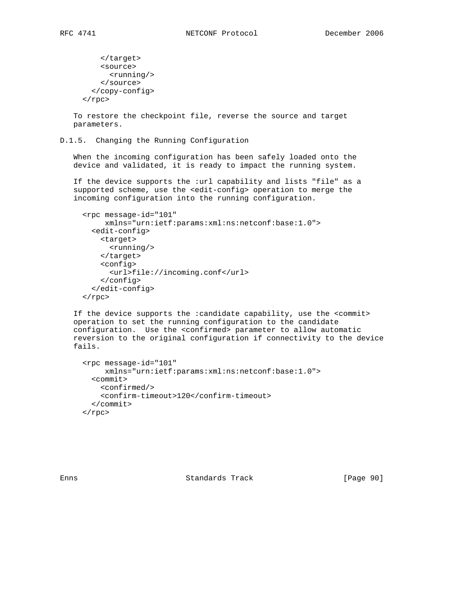```
 </target>
     <source>
       <running/>
     </source>
   </copy-config>
\langle / rpc
```
 To restore the checkpoint file, reverse the source and target parameters.

D.1.5. Changing the Running Configuration

 When the incoming configuration has been safely loaded onto the device and validated, it is ready to impact the running system.

 If the device supports the :url capability and lists "file" as a supported scheme, use the <edit-config> operation to merge the incoming configuration into the running configuration.

```
 <rpc message-id="101"
      xmlns="urn:ietf:params:xml:ns:netconf:base:1.0">
   <edit-config>
     <target>
       <running/>
     </target>
     <config>
       <url>file://incoming.conf</url>
     </config>
   </edit-config>
\langle rpc>
```
 If the device supports the :candidate capability, use the <commit> operation to set the running configuration to the candidate configuration. Use the <confirmed> parameter to allow automatic reversion to the original configuration if connectivity to the device fails.

```
 <rpc message-id="101"
      xmlns="urn:ietf:params:xml:ns:netconf:base:1.0">
  <commit>
     <confirmed/>
     <confirm-timeout>120</confirm-timeout>
  </commit>
\langle rpc>
```
Enns Standards Track [Page 90]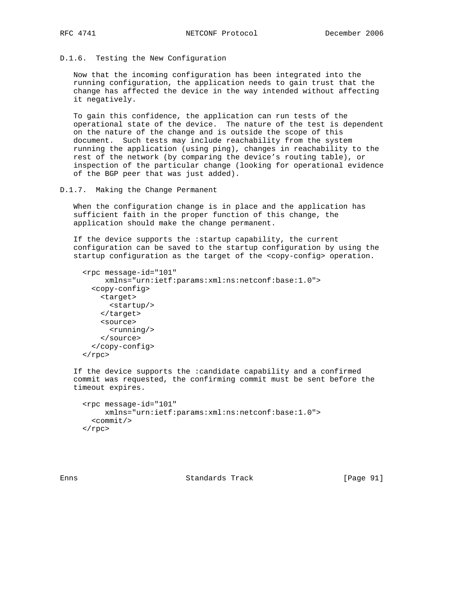## D.1.6. Testing the New Configuration

 Now that the incoming configuration has been integrated into the running configuration, the application needs to gain trust that the change has affected the device in the way intended without affecting it negatively.

 To gain this confidence, the application can run tests of the operational state of the device. The nature of the test is dependent on the nature of the change and is outside the scope of this document. Such tests may include reachability from the system running the application (using ping), changes in reachability to the rest of the network (by comparing the device's routing table), or inspection of the particular change (looking for operational evidence of the BGP peer that was just added).

```
D.1.7. Making the Change Permanent
```
 When the configuration change is in place and the application has sufficient faith in the proper function of this change, the application should make the change permanent.

 If the device supports the :startup capability, the current configuration can be saved to the startup configuration by using the startup configuration as the target of the <copy-config> operation.

```
 <rpc message-id="101"
      xmlns="urn:ietf:params:xml:ns:netconf:base:1.0">
   <copy-config>
     <target>
       <startup/>
     </target>
     <source>
       <running/>
     </source>
   </copy-config>
\langle rpc>
```
 If the device supports the :candidate capability and a confirmed commit was requested, the confirming commit must be sent before the timeout expires.

```
 <rpc message-id="101"
     xmlns="urn:ietf:params:xml:ns:netconf:base:1.0">
   <commit/>
\langle rpc>
```
Enns Standards Track [Page 91]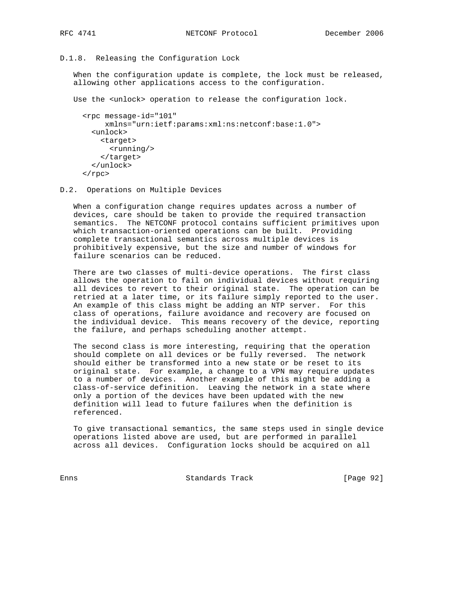D.1.8. Releasing the Configuration Lock

 When the configuration update is complete, the lock must be released, allowing other applications access to the configuration.

Use the <unlock> operation to release the configuration lock.

```
 <rpc message-id="101"
      xmlns="urn:ietf:params:xml:ns:netconf:base:1.0">
  <unlock>
     <target>
       <running/>
     </target>
   </unlock>
\langle rpc>
```
D.2. Operations on Multiple Devices

 When a configuration change requires updates across a number of devices, care should be taken to provide the required transaction semantics. The NETCONF protocol contains sufficient primitives upon which transaction-oriented operations can be built. Providing complete transactional semantics across multiple devices is prohibitively expensive, but the size and number of windows for failure scenarios can be reduced.

 There are two classes of multi-device operations. The first class allows the operation to fail on individual devices without requiring all devices to revert to their original state. The operation can be retried at a later time, or its failure simply reported to the user. An example of this class might be adding an NTP server. For this class of operations, failure avoidance and recovery are focused on the individual device. This means recovery of the device, reporting the failure, and perhaps scheduling another attempt.

 The second class is more interesting, requiring that the operation should complete on all devices or be fully reversed. The network should either be transformed into a new state or be reset to its original state. For example, a change to a VPN may require updates to a number of devices. Another example of this might be adding a class-of-service definition. Leaving the network in a state where only a portion of the devices have been updated with the new definition will lead to future failures when the definition is referenced.

 To give transactional semantics, the same steps used in single device operations listed above are used, but are performed in parallel across all devices. Configuration locks should be acquired on all

Enns **Enns** Standards Track [Page 92]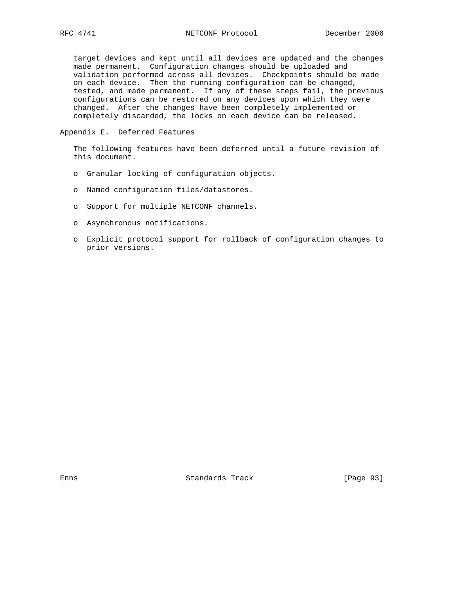target devices and kept until all devices are updated and the changes made permanent. Configuration changes should be uploaded and validation performed across all devices. Checkpoints should be made on each device. Then the running configuration can be changed, tested, and made permanent. If any of these steps fail, the previous configurations can be restored on any devices upon which they were changed. After the changes have been completely implemented or completely discarded, the locks on each device can be released.

Appendix E. Deferred Features

 The following features have been deferred until a future revision of this document.

- o Granular locking of configuration objects.
- o Named configuration files/datastores.
- o Support for multiple NETCONF channels.
- o Asynchronous notifications.
- o Explicit protocol support for rollback of configuration changes to prior versions.

Enns Standards Track [Page 93]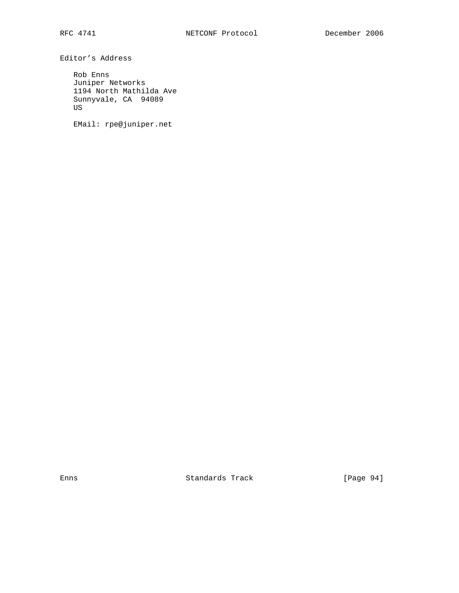Editor's Address

 Rob Enns Juniper Networks 1194 North Mathilda Ave Sunnyvale, CA 94089 US

EMail: rpe@juniper.net

Enns Standards Track [Page 94]